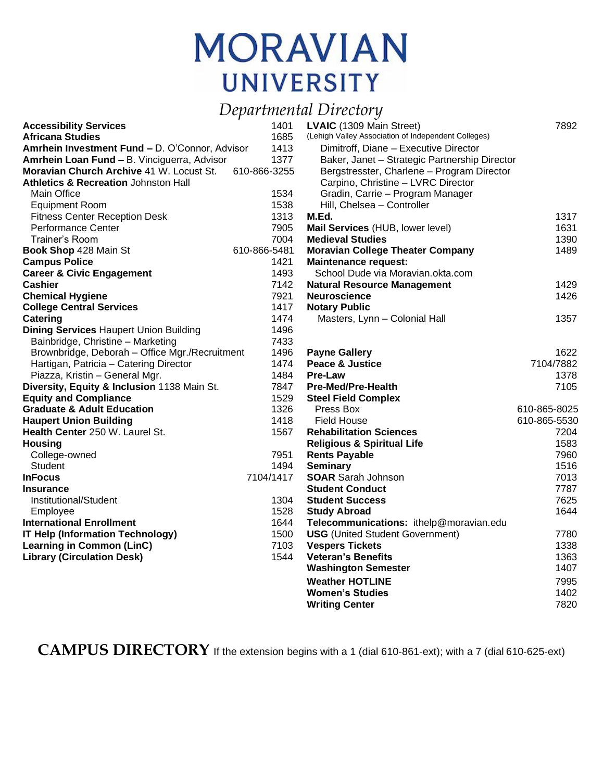## **MORAVIAN UNIVERSITY**

## *Departmental Directory*

| <b>Accessibility Services</b>                   | -<br>1401    | LVAIC (1309 Main Street)                            | 7892         |
|-------------------------------------------------|--------------|-----------------------------------------------------|--------------|
| <b>Africana Studies</b>                         | 1685         | (Lehigh Valley Association of Independent Colleges) |              |
| Amrhein Investment Fund - D. O'Connor, Advisor  | 1413         | Dimitroff, Diane - Executive Director               |              |
| Amrhein Loan Fund - B. Vinciguerra, Advisor     | 1377         | Baker, Janet - Strategic Partnership Director       |              |
| <b>Moravian Church Archive 41 W. Locust St.</b> | 610-866-3255 | Bergstresster, Charlene - Program Director          |              |
| <b>Athletics &amp; Recreation Johnston Hall</b> |              | Carpino, Christine - LVRC Director                  |              |
| <b>Main Office</b>                              | 1534         | Gradin, Carrie - Program Manager                    |              |
| <b>Equipment Room</b>                           | 1538         | Hill, Chelsea - Controller                          |              |
| <b>Fitness Center Reception Desk</b>            | 1313         | M.Ed.                                               | 1317         |
| <b>Performance Center</b>                       | 7905         | Mail Services (HUB, lower level)                    | 1631         |
| Trainer's Room                                  | 7004         | <b>Medieval Studies</b>                             | 1390         |
| Book Shop 428 Main St                           | 610-866-5481 | <b>Moravian College Theater Company</b>             | 1489         |
| <b>Campus Police</b>                            | 1421         | <b>Maintenance request:</b>                         |              |
| <b>Career &amp; Civic Engagement</b>            | 1493         | School Dude via Moravian.okta.com                   |              |
| Cashier                                         | 7142         | <b>Natural Resource Management</b>                  | 1429         |
| <b>Chemical Hygiene</b>                         | 7921         | <b>Neuroscience</b>                                 | 1426         |
| <b>College Central Services</b>                 | 1417         | <b>Notary Public</b>                                |              |
| Catering                                        | 1474         | Masters, Lynn - Colonial Hall                       | 1357         |
| <b>Dining Services Haupert Union Building</b>   | 1496         |                                                     |              |
| Bainbridge, Christine - Marketing               | 7433         |                                                     |              |
| Brownbridge, Deborah - Office Mgr./Recruitment  | 1496         | <b>Payne Gallery</b>                                | 1622         |
| Hartigan, Patricia - Catering Director          | 1474         | Peace & Justice                                     | 7104/7882    |
| Piazza, Kristin - General Mgr.                  | 1484         | <b>Pre-Law</b>                                      | 1378         |
| Diversity, Equity & Inclusion 1138 Main St.     | 7847         | <b>Pre-Med/Pre-Health</b>                           | 7105         |
| <b>Equity and Compliance</b>                    | 1529         | <b>Steel Field Complex</b>                          |              |
| <b>Graduate &amp; Adult Education</b>           | 1326         | Press Box                                           | 610-865-8025 |
| <b>Haupert Union Building</b>                   | 1418         | <b>Field House</b>                                  | 610-865-5530 |
| <b>Health Center</b> 250 W. Laurel St.          | 1567         | <b>Rehabilitation Sciences</b>                      | 7204         |
| <b>Housing</b>                                  |              | <b>Religious &amp; Spiritual Life</b>               | 1583         |
| College-owned                                   | 7951         | <b>Rents Payable</b>                                | 7960         |
| <b>Student</b>                                  | 1494         | <b>Seminary</b>                                     | 1516         |
| <b>InFocus</b>                                  | 7104/1417    | <b>SOAR</b> Sarah Johnson                           | 7013         |
| <b>Insurance</b>                                |              | <b>Student Conduct</b>                              | 7787         |
| Institutional/Student                           | 1304         | <b>Student Success</b>                              | 7625         |
| Employee                                        | 1528         | <b>Study Abroad</b>                                 | 1644         |
| <b>International Enrollment</b>                 | 1644         | Telecommunications: ithelp@moravian.edu             |              |
| <b>IT Help (Information Technology)</b>         | 1500         | <b>USG</b> (United Student Government)              | 7780         |
| <b>Learning in Common (LinC)</b>                | 7103         | <b>Vespers Tickets</b>                              | 1338         |
| <b>Library (Circulation Desk)</b>               | 1544         | <b>Veteran's Benefits</b>                           | 1363         |
|                                                 |              | <b>Washington Semester</b>                          | 1407         |
|                                                 |              | <b>Weather HOTLINE</b>                              | 7995         |
|                                                 |              | <b>Women's Studies</b>                              | 1402         |
|                                                 |              | <b>Writing Center</b>                               | 7820         |

**CAMPUS DIRECTORY** If the extension begins with a 1 (dial 610-861-ext); with a 7 (dial 610-625-ext)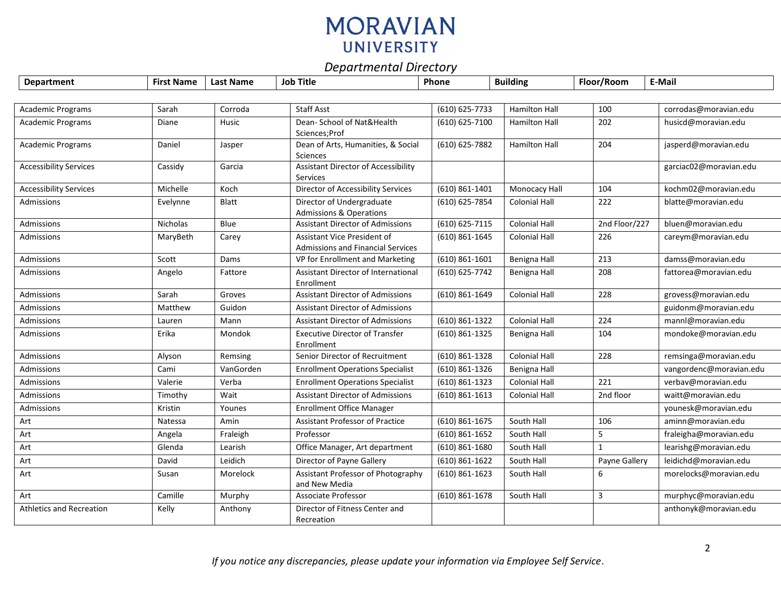## **MORAVIAN UNIVERSITY**

## *Departmental Directory*

| <b>Department</b>               | <b>First Name</b> | <b>Last Name</b> | <b>Job Title</b>                                                        | Phone              | <b>Building</b>      | Floor/Room    | E-Mail                  |
|---------------------------------|-------------------|------------------|-------------------------------------------------------------------------|--------------------|----------------------|---------------|-------------------------|
|                                 |                   |                  |                                                                         |                    |                      |               |                         |
| <b>Academic Programs</b>        | Sarah             | Corroda          | <b>Staff Asst</b>                                                       | (610) 625-7733     | <b>Hamilton Hall</b> | 100           | corrodas@moravian.edu   |
| Academic Programs               | Diane             | Husic            | Dean- School of Nat&Health<br>Sciences; Prof                            | (610) 625-7100     | <b>Hamilton Hall</b> | 202           | husicd@moravian.edu     |
| <b>Academic Programs</b>        | Daniel            | Jasper           | Dean of Arts, Humanities, & Social<br>Sciences                          | (610) 625-7882     | <b>Hamilton Hall</b> | 204           | jasperd@moravian.edu    |
| <b>Accessibility Services</b>   | Cassidy           | Garcia           | <b>Assistant Director of Accessibility</b><br>Services                  |                    |                      |               | garciac02@moravian.edu  |
| <b>Accessibility Services</b>   | Michelle          | Koch             | <b>Director of Accessibility Services</b>                               | $(610) 861 - 1401$ | Monocacy Hall        | 104           | kochm02@moravian.edu    |
| Admissions                      | Evelynne          | Blatt            | Director of Undergraduate<br><b>Admissions &amp; Operations</b>         | (610) 625-7854     | <b>Colonial Hall</b> | 222           | blatte@moravian.edu     |
| Admissions                      | Nicholas          | Blue             | <b>Assistant Director of Admissions</b>                                 | (610) 625-7115     | <b>Colonial Hall</b> | 2nd Floor/227 | bluen@moravian.edu      |
| Admissions                      | MaryBeth          | Carey            | Assistant Vice President of<br><b>Admissions and Financial Services</b> | $(610) 861 - 1645$ | <b>Colonial Hall</b> | 226           | careym@moravian.edu     |
| Admissions                      | Scott             | Dams             | VP for Enrollment and Marketing                                         | $(610) 861 - 1601$ | Benigna Hall         | 213           | damss@moravian.edu      |
| Admissions                      | Angelo            | Fattore          | Assistant Director of International<br>Enrollment                       | (610) 625-7742     | Benigna Hall         | 208           | fattorea@moravian.edu   |
| Admissions                      | Sarah             | Groves           | <b>Assistant Director of Admissions</b>                                 | $(610) 861 - 1649$ | <b>Colonial Hall</b> | 228           | grovess@moravian.edu    |
| Admissions                      | Matthew           | Guidon           | <b>Assistant Director of Admissions</b>                                 |                    |                      |               | guidonm@moravian.edu    |
| Admissions                      | Lauren            | Mann             | <b>Assistant Director of Admissions</b>                                 | (610) 861-1322     | <b>Colonial Hall</b> | 224           | mannl@moravian.edu      |
| Admissions                      | Erika             | Mondok           | <b>Executive Director of Transfer</b><br>Enrollment                     | $(610) 861 - 1325$ | Benigna Hall         | 104           | mondoke@moravian.edu    |
| Admissions                      | Alyson            | Remsing          | Senior Director of Recruitment                                          | (610) 861-1328     | <b>Colonial Hall</b> | 228           | remsinga@moravian.edu   |
| Admissions                      | Cami              | VanGorden        | <b>Enrollment Operations Specialist</b>                                 | (610) 861-1326     | Benigna Hall         |               | vangordenc@moravian.edu |
| Admissions                      | Valerie           | Verba            | <b>Enrollment Operations Specialist</b>                                 | $(610) 861 - 1323$ | <b>Colonial Hall</b> | 221           | verbav@moravian.edu     |
| Admissions                      | Timothy           | Wait             | <b>Assistant Director of Admissions</b>                                 | $(610) 861 - 1613$ | <b>Colonial Hall</b> | 2nd floor     | waitt@moravian.edu      |
| Admissions                      | Kristin           | Younes           | <b>Enrollment Office Manager</b>                                        |                    |                      |               | younesk@moravian.edu    |
| Art                             | Natessa           | Amin             | <b>Assistant Professor of Practice</b>                                  | $(610) 861 - 1675$ | South Hall           | 106           | aminn@moravian.edu      |
| Art                             | Angela            | Fraleigh         | Professor                                                               | $(610) 861 - 1652$ | South Hall           | 5             | fraleigha@moravian.edu  |
| Art                             | Glenda            | Learish          | Office Manager, Art department                                          | $(610) 861 - 1680$ | South Hall           | $\mathbf{1}$  | learishg@moravian.edu   |
| Art                             | David             | Leidich          | Director of Payne Gallery                                               | $(610) 861 - 1622$ | South Hall           | Payne Gallery | leidichd@moravian.edu   |
| Art                             | Susan             | Morelock         | Assistant Professor of Photography<br>and New Media                     | (610) 861-1623     | South Hall           | 6             | morelocks@moravian.edu  |
| Art                             | Camille           | Murphy           | <b>Associate Professor</b>                                              | $(610) 861 - 1678$ | South Hall           | 3             | murphyc@moravian.edu    |
| <b>Athletics and Recreation</b> | Kelly             | Anthony          | Director of Fitness Center and<br>Recreation                            |                    |                      |               | anthonyk@moravian.edu   |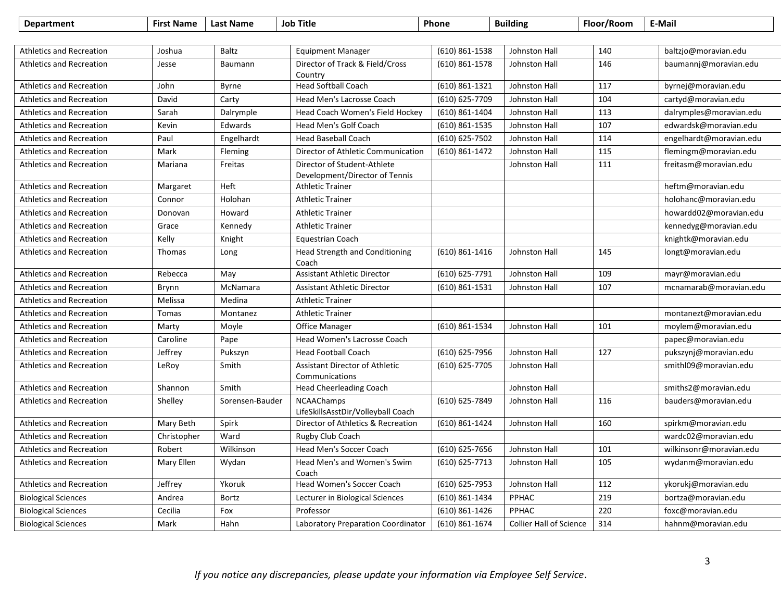| <b>Department</b>               | <b>First Name</b> | <b>Last Name</b> | <b>Job Title</b>                                              | Phone              | <b>Building</b>                | Floor/Room | E-Mail                  |
|---------------------------------|-------------------|------------------|---------------------------------------------------------------|--------------------|--------------------------------|------------|-------------------------|
|                                 |                   |                  |                                                               |                    |                                |            |                         |
| <b>Athletics and Recreation</b> | Joshua            | <b>Baltz</b>     | <b>Equipment Manager</b>                                      | (610) 861-1538     | Johnston Hall                  | 140        | baltzjo@moravian.edu    |
| <b>Athletics and Recreation</b> | Jesse             | Baumann          | Director of Track & Field/Cross<br>Country                    | $(610)$ 861-1578   | Johnston Hall                  | 146        | baumannj@moravian.edu   |
| <b>Athletics and Recreation</b> | John              | Byrne            | <b>Head Softball Coach</b>                                    | (610) 861-1321     | Johnston Hall                  | 117        | byrnej@moravian.edu     |
| <b>Athletics and Recreation</b> | David             | Carty            | Head Men's Lacrosse Coach                                     | (610) 625-7709     | Johnston Hall                  | 104        | cartyd@moravian.edu     |
| <b>Athletics and Recreation</b> | Sarah             | Dalrymple        | Head Coach Women's Field Hockey                               | $(610)$ 861-1404   | Johnston Hall                  | 113        | dalrymples@moravian.edu |
| <b>Athletics and Recreation</b> | Kevin             | Edwards          | Head Men's Golf Coach                                         | (610) 861-1535     | Johnston Hall                  | 107        | edwardsk@moravian.edu   |
| <b>Athletics and Recreation</b> | Paul              | Engelhardt       | <b>Head Baseball Coach</b>                                    | (610) 625-7502     | Johnston Hall                  | 114        | engelhardt@moravian.edu |
| <b>Athletics and Recreation</b> | Mark              | Fleming          | Director of Athletic Communication                            | $(610) 861 - 1472$ | Johnston Hall                  | 115        | flemingm@moravian.edu   |
| <b>Athletics and Recreation</b> | Mariana           | Freitas          | Director of Student-Athlete<br>Development/Director of Tennis |                    | Johnston Hall                  | 111        | freitasm@moravian.edu   |
| <b>Athletics and Recreation</b> | Margaret          | Heft             | <b>Athletic Trainer</b>                                       |                    |                                |            | heftm@moravian.edu      |
| <b>Athletics and Recreation</b> | Connor            | Holohan          | <b>Athletic Trainer</b>                                       |                    |                                |            | holohanc@moravian.edu   |
| <b>Athletics and Recreation</b> | Donovan           | Howard           | <b>Athletic Trainer</b>                                       |                    |                                |            | howardd02@moravian.edu  |
| <b>Athletics and Recreation</b> | Grace             | Kennedy          | <b>Athletic Trainer</b>                                       |                    |                                |            | kennedyg@moravian.edu   |
| <b>Athletics and Recreation</b> | Kelly             | Knight           | <b>Equestrian Coach</b>                                       |                    |                                |            | knightk@moravian.edu    |
| <b>Athletics and Recreation</b> | Thomas            | Long             | <b>Head Strength and Conditioning</b><br>Coach                | $(610) 861 - 1416$ | Johnston Hall                  | 145        | longt@moravian.edu      |
| <b>Athletics and Recreation</b> | Rebecca           | May              | <b>Assistant Athletic Director</b>                            | (610) 625-7791     | Johnston Hall                  | 109        | mayr@moravian.edu       |
| <b>Athletics and Recreation</b> | Brynn             | McNamara         | <b>Assistant Athletic Director</b>                            | $(610)$ 861-1531   | Johnston Hall                  | 107        | mcnamarab@moravian.edu  |
| <b>Athletics and Recreation</b> | Melissa           | Medina           | <b>Athletic Trainer</b>                                       |                    |                                |            |                         |
| <b>Athletics and Recreation</b> | Tomas             | Montanez         | <b>Athletic Trainer</b>                                       |                    |                                |            | montanezt@moravian.edu  |
| <b>Athletics and Recreation</b> | Marty             | Moyle            | Office Manager                                                | (610) 861-1534     | Johnston Hall                  | 101        | moylem@moravian.edu     |
| <b>Athletics and Recreation</b> | Caroline          | Pape             | Head Women's Lacrosse Coach                                   |                    |                                |            | papec@moravian.edu      |
| <b>Athletics and Recreation</b> | Jeffrey           | Pukszyn          | <b>Head Football Coach</b>                                    | $(610) 625 - 7956$ | Johnston Hall                  | 127        | pukszynj@moravian.edu   |
| <b>Athletics and Recreation</b> | LeRoy             | Smith            | Assistant Director of Athletic<br>Communications              | (610) 625-7705     | Johnston Hall                  |            | smithI09@moravian.edu   |
| <b>Athletics and Recreation</b> | Shannon           | Smith            | Head Cheerleading Coach                                       |                    | Johnston Hall                  |            | smiths2@moravian.edu    |
| <b>Athletics and Recreation</b> | Shelley           | Sorensen-Bauder  | <b>NCAAChamps</b><br>LifeSkillsAsstDir/Volleyball Coach       | (610) 625-7849     | Johnston Hall                  | 116        | bauders@moravian.edu    |
| <b>Athletics and Recreation</b> | Mary Beth         | Spirk            | Director of Athletics & Recreation                            | (610) 861-1424     | Johnston Hall                  | 160        | spirkm@moravian.edu     |
| <b>Athletics and Recreation</b> | Christopher       | Ward             | Rugby Club Coach                                              |                    |                                |            | wardc02@moravian.edu    |
| <b>Athletics and Recreation</b> | Robert            | Wilkinson        | Head Men's Soccer Coach                                       | (610) 625-7656     | Johnston Hall                  | 101        | wilkinsonr@moravian.edu |
| <b>Athletics and Recreation</b> | Mary Ellen        | Wydan            | Head Men's and Women's Swim<br>Coach                          | (610) 625-7713     | Johnston Hall                  | 105        | wydanm@moravian.edu     |
| <b>Athletics and Recreation</b> | Jeffrey           | Ykoruk           | Head Women's Soccer Coach                                     | (610) 625-7953     | Johnston Hall                  | 112        | ykorukj@moravian.edu    |
| <b>Biological Sciences</b>      | Andrea            | <b>Bortz</b>     | Lecturer in Biological Sciences                               | (610) 861-1434     | PPHAC                          | 219        | bortza@moravian.edu     |
| <b>Biological Sciences</b>      | Cecilia           | Fox              | Professor                                                     | (610) 861-1426     | PPHAC                          | 220        | foxc@moravian.edu       |
| <b>Biological Sciences</b>      | Mark              | Hahn             | Laboratory Preparation Coordinator                            | $(610)$ 861-1674   | <b>Collier Hall of Science</b> | 314        | hahnm@moravian.edu      |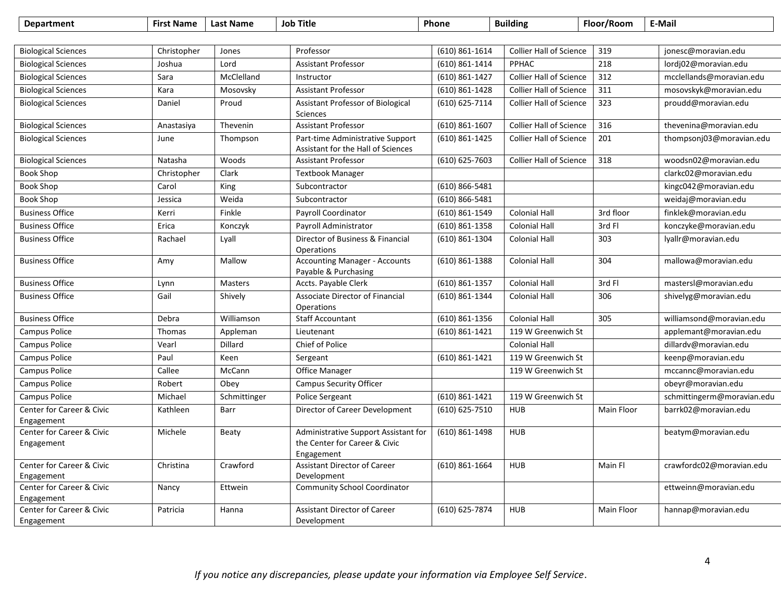| <b>Department</b>                       | <b>First Name</b> | <b>Last Name</b> | <b>Job Title</b>                                                                    | Phone              | <b>Building</b>                | Floor/Room | E-Mail                     |
|-----------------------------------------|-------------------|------------------|-------------------------------------------------------------------------------------|--------------------|--------------------------------|------------|----------------------------|
|                                         |                   |                  |                                                                                     |                    |                                |            |                            |
| <b>Biological Sciences</b>              | Christopher       | Jones            | Professor                                                                           | $(610) 861 - 1614$ | <b>Collier Hall of Science</b> | 319        | jonesc@moravian.edu        |
| <b>Biological Sciences</b>              | Joshua            | Lord             | <b>Assistant Professor</b>                                                          | (610) 861-1414     | PPHAC                          | 218        | lordj02@moravian.edu       |
| <b>Biological Sciences</b>              | Sara              | McClelland       | Instructor                                                                          | $(610) 861 - 1427$ | <b>Collier Hall of Science</b> | 312        | mcclellands@moravian.edu   |
| <b>Biological Sciences</b>              | Kara              | Mosovsky         | <b>Assistant Professor</b>                                                          | (610) 861-1428     | <b>Collier Hall of Science</b> | 311        | mosovskyk@moravian.edu     |
| <b>Biological Sciences</b>              | Daniel            | Proud            | Assistant Professor of Biological<br>Sciences                                       | (610) 625-7114     | <b>Collier Hall of Science</b> | 323        | proudd@moravian.edu        |
| <b>Biological Sciences</b>              | Anastasiya        | Thevenin         | <b>Assistant Professor</b>                                                          | $(610) 861 - 1607$ | <b>Collier Hall of Science</b> | 316        | thevenina@moravian.edu     |
| <b>Biological Sciences</b>              | June              | Thompson         | Part-time Administrative Support<br>Assistant for the Hall of Sciences              | (610) 861-1425     | <b>Collier Hall of Science</b> | 201        | thompsonj03@moravian.edu   |
| <b>Biological Sciences</b>              | Natasha           | Woods            | <b>Assistant Professor</b>                                                          | (610) 625-7603     | <b>Collier Hall of Science</b> | 318        | woodsn02@moravian.edu      |
| <b>Book Shop</b>                        | Christopher       | Clark            | <b>Textbook Manager</b>                                                             |                    |                                |            | clarkc02@moravian.edu      |
| <b>Book Shop</b>                        | Carol             | King             | Subcontractor                                                                       | (610) 866-5481     |                                |            | kingc042@moravian.edu      |
| <b>Book Shop</b>                        | Jessica           | Weida            | Subcontractor                                                                       | $(610) 866 - 5481$ |                                |            | weidaj@moravian.edu        |
| <b>Business Office</b>                  | Kerri             | Finkle           | Payroll Coordinator                                                                 | (610) 861-1549     | <b>Colonial Hall</b>           | 3rd floor  | finklek@moravian.edu       |
| <b>Business Office</b>                  | Erica             | Konczyk          | Payroll Administrator                                                               | $(610)$ 861-1358   | <b>Colonial Hall</b>           | 3rd Fl     | konczyke@moravian.edu      |
| <b>Business Office</b>                  | Rachael           | Lyall            | Director of Business & Financial<br>Operations                                      | (610) 861-1304     | <b>Colonial Hall</b>           | 303        | lyallr@moravian.edu        |
| <b>Business Office</b>                  | Amy               | Mallow           | <b>Accounting Manager - Accounts</b><br>Payable & Purchasing                        | (610) 861-1388     | <b>Colonial Hall</b>           | 304        | mallowa@moravian.edu       |
| <b>Business Office</b>                  | Lynn              | <b>Masters</b>   | Accts. Payable Clerk                                                                | $(610) 861 - 1357$ | <b>Colonial Hall</b>           | 3rd Fl     | mastersl@moravian.edu      |
| <b>Business Office</b>                  | Gail              | Shively          | Associate Director of Financial<br>Operations                                       | (610) 861-1344     | <b>Colonial Hall</b>           | 306        | shivelyg@moravian.edu      |
| <b>Business Office</b>                  | Debra             | Williamson       | <b>Staff Accountant</b>                                                             | $(610)$ 861-1356   | <b>Colonial Hall</b>           | 305        | williamsond@moravian.edu   |
| Campus Police                           | Thomas            | Appleman         | Lieutenant                                                                          | (610) 861-1421     | 119 W Greenwich St             |            | applemant@moravian.edu     |
| <b>Campus Police</b>                    | Vearl             | Dillard          | Chief of Police                                                                     |                    | <b>Colonial Hall</b>           |            | dillardv@moravian.edu      |
| <b>Campus Police</b>                    | Paul              | Keen             | Sergeant                                                                            | (610) 861-1421     | 119 W Greenwich St             |            | keenp@moravian.edu         |
| Campus Police                           | Callee            | McCann           | Office Manager                                                                      |                    | 119 W Greenwich St             |            | mccannc@moravian.edu       |
| Campus Police                           | Robert            | Obey             | <b>Campus Security Officer</b>                                                      |                    |                                |            | obeyr@moravian.edu         |
| Campus Police                           | Michael           | Schmittinger     | Police Sergeant                                                                     | (610) 861-1421     | 119 W Greenwich St             |            | schmittingerm@moravian.edu |
| Center for Career & Civic<br>Engagement | Kathleen          | Barr             | Director of Career Development                                                      | (610) 625-7510     | <b>HUB</b>                     | Main Floor | barrk02@moravian.edu       |
| Center for Career & Civic<br>Engagement | Michele           | Beaty            | Administrative Support Assistant for<br>the Center for Career & Civic<br>Engagement | (610) 861-1498     | <b>HUB</b>                     |            | beatym@moravian.edu        |
| Center for Career & Civic<br>Engagement | Christina         | Crawford         | <b>Assistant Director of Career</b><br>Development                                  | $(610)$ 861-1664   | <b>HUB</b>                     | Main Fl    | crawfordc02@moravian.edu   |
| Center for Career & Civic<br>Engagement | Nancy             | Ettwein          | <b>Community School Coordinator</b>                                                 |                    |                                |            | ettweinn@moravian.edu      |
| Center for Career & Civic<br>Engagement | Patricia          | Hanna            | Assistant Director of Career<br>Development                                         | (610) 625-7874     | <b>HUB</b>                     | Main Floor | hannap@moravian.edu        |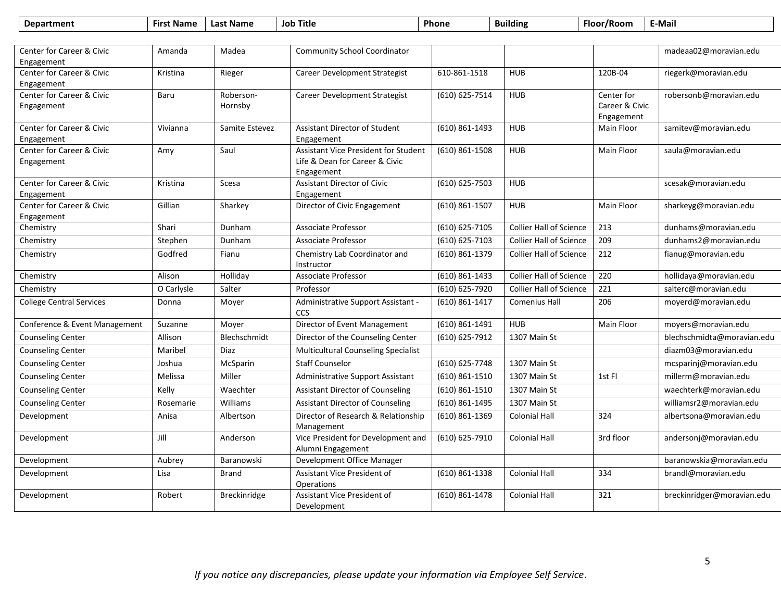| <b>Department</b>                       | <b>First Name</b> | <b>Last Name</b>     | <b>Job Title</b>                                        | <b>Phone</b>       | <b>Building</b>                | Floor/Room                   | E-Mail                     |
|-----------------------------------------|-------------------|----------------------|---------------------------------------------------------|--------------------|--------------------------------|------------------------------|----------------------------|
|                                         |                   |                      |                                                         |                    |                                |                              |                            |
| Center for Career & Civic               | Amanda            | Madea                | <b>Community School Coordinator</b>                     |                    |                                |                              | madeaa02@moravian.edu      |
| Engagement                              |                   |                      |                                                         |                    |                                |                              |                            |
| Center for Career & Civic               | Kristina          | Rieger               | Career Development Strategist                           | 610-861-1518       | <b>HUB</b>                     | 120B-04                      | riegerk@moravian.edu       |
| Engagement                              |                   |                      |                                                         |                    |                                |                              |                            |
| Center for Career & Civic<br>Engagement | Baru              | Roberson-<br>Hornsby | <b>Career Development Strategist</b>                    | (610) 625-7514     | <b>HUB</b>                     | Center for<br>Career & Civic | robersonb@moravian.edu     |
|                                         |                   |                      |                                                         |                    |                                | Engagement                   |                            |
| <b>Center for Career &amp; Civic</b>    | Vivianna          | Samite Estevez       | <b>Assistant Director of Student</b>                    | (610) 861-1493     | <b>HUB</b>                     | Main Floor                   | samitev@moravian.edu       |
| Engagement                              |                   |                      | Engagement                                              |                    |                                |                              |                            |
| Center for Career & Civic               | Amy               | Saul                 | <b>Assistant Vice President for Student</b>             | $(610)$ 861-1508   | <b>HUB</b>                     | Main Floor                   | saula@moravian.edu         |
| Engagement                              |                   |                      | Life & Dean for Career & Civic                          |                    |                                |                              |                            |
|                                         |                   |                      | Engagement                                              |                    |                                |                              |                            |
| Center for Career & Civic<br>Engagement | Kristina          | Scesa                | <b>Assistant Director of Civic</b><br>Engagement        | (610) 625-7503     | <b>HUB</b>                     |                              | scesak@moravian.edu        |
| Center for Career & Civic               | Gillian           | Sharkey              | Director of Civic Engagement                            | (610) 861-1507     | <b>HUB</b>                     | Main Floor                   | sharkeyg@moravian.edu      |
| Engagement                              |                   |                      |                                                         |                    |                                |                              |                            |
| Chemistry                               | Shari             | Dunham               | <b>Associate Professor</b>                              | (610) 625-7105     | <b>Collier Hall of Science</b> | 213                          | dunhams@moravian.edu       |
| Chemistry                               | Stephen           | Dunham               | <b>Associate Professor</b>                              | (610) 625-7103     | <b>Collier Hall of Science</b> | 209                          | dunhams2@moravian.edu      |
| Chemistry                               | Godfred           | Fianu                | Chemistry Lab Coordinator and<br>Instructor             | (610) 861-1379     | <b>Collier Hall of Science</b> | 212                          | fianug@moravian.edu        |
| Chemistry                               | Alison            | Holliday             | <b>Associate Professor</b>                              | $(610) 861 - 1433$ | <b>Collier Hall of Science</b> | 220                          | hollidaya@moravian.edu     |
| Chemistry                               | O Carlysle        | Salter               | Professor                                               | (610) 625-7920     | <b>Collier Hall of Science</b> | 221                          | salterc@moravian.edu       |
| <b>College Central Services</b>         | Donna             | Moyer                | Administrative Support Assistant -<br>CCS               | $(610) 861 - 1417$ | <b>Comenius Hall</b>           | 206                          | moyerd@moravian.edu        |
| Conference & Event Management           | Suzanne           | Moyer                | Director of Event Management                            | $(610) 861 - 1491$ | <b>HUB</b>                     | Main Floor                   | moyers@moravian.edu        |
| <b>Counseling Center</b>                | Allison           | Blechschmidt         | Director of the Counseling Center                       | (610) 625-7912     | 1307 Main St                   |                              | blechschmidta@moravian.edu |
| <b>Counseling Center</b>                | Maribel           | Diaz                 | <b>Multicultural Counseling Specialist</b>              |                    |                                |                              | diazm03@moravian.edu       |
| <b>Counseling Center</b>                | Joshua            | McSparin             | <b>Staff Counselor</b>                                  | (610) 625-7748     | 1307 Main St                   |                              | mcsparinj@moravian.edu     |
| Counseling Center                       | Melissa           | Miller               | Administrative Support Assistant                        | $(610)$ 861-1510   | 1307 Main St                   | 1st Fl                       | millerm@moravian.edu       |
| <b>Counseling Center</b>                | Kelly             | Waechter             | <b>Assistant Director of Counseling</b>                 | (610) 861-1510     | 1307 Main St                   |                              | waechterk@moravian.edu     |
| <b>Counseling Center</b>                | Rosemarie         | Williams             | <b>Assistant Director of Counseling</b>                 | (610) 861-1495     | 1307 Main St                   |                              | williamsr2@moravian.edu    |
| Development                             | Anisa             | Albertson            | Director of Research & Relationship<br>Management       | $(610) 861 - 1369$ | <b>Colonial Hall</b>           | 324                          | albertsona@moravian.edu    |
| Development                             | Jill              | Anderson             | Vice President for Development and<br>Alumni Engagement | (610) 625-7910     | <b>Colonial Hall</b>           | 3rd floor                    | andersonj@moravian.edu     |
| Development                             | Aubrey            | Baranowski           | Development Office Manager                              |                    |                                |                              | baranowskia@moravian.edu   |
| Development                             | Lisa              | Brand                | Assistant Vice President of<br>Operations               | $(610) 861 - 1338$ | <b>Colonial Hall</b>           | 334                          | brandl@moravian.edu        |
| Development                             | Robert            | <b>Breckinridge</b>  | Assistant Vice President of<br>Development              | $(610) 861 - 1478$ | <b>Colonial Hall</b>           | 321                          | breckinridger@moravian.edu |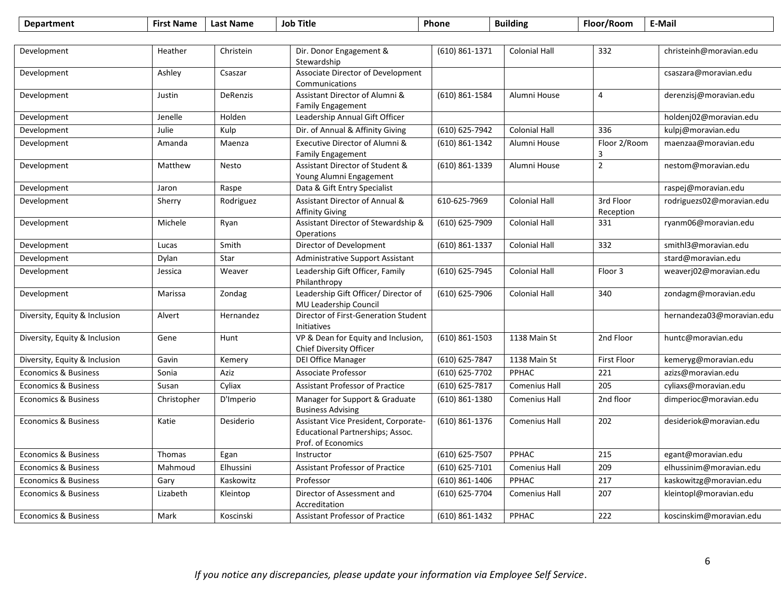| <b>Department</b>               | <b>First Name</b> | <b>Last Name</b> | <b>Job Title</b>                                                                               | Phone              | <b>Building</b>      | Floor/Room             | E-Mail                    |
|---------------------------------|-------------------|------------------|------------------------------------------------------------------------------------------------|--------------------|----------------------|------------------------|---------------------------|
|                                 |                   |                  |                                                                                                |                    |                      |                        |                           |
| Development                     | Heather           | Christein        | Dir. Donor Engagement &<br>Stewardship                                                         | (610) 861-1371     | <b>Colonial Hall</b> | 332                    | christeinh@moravian.edu   |
| Development                     | Ashley            | Csaszar          | Associate Director of Development<br>Communications                                            |                    |                      |                        | csaszara@moravian.edu     |
| Development                     | Justin            | DeRenzis         | Assistant Director of Alumni &<br><b>Family Engagement</b>                                     | (610) 861-1584     | Alumni House         | 4                      | derenzisj@moravian.edu    |
| Development                     | Jenelle           | Holden           | Leadership Annual Gift Officer                                                                 |                    |                      |                        | holdenj02@moravian.edu    |
| Development                     | Julie             | Kulp             | Dir. of Annual & Affinity Giving                                                               | (610) 625-7942     | <b>Colonial Hall</b> | 336                    | kulpj@moravian.edu        |
| Development                     | Amanda            | Maenza           | Executive Director of Alumni &<br><b>Family Engagement</b>                                     | (610) 861-1342     | Alumni House         | Floor 2/Room<br>3      | maenzaa@moravian.edu      |
| Development                     | Matthew           | <b>Nesto</b>     | Assistant Director of Student &<br>Young Alumni Engagement                                     | (610) 861-1339     | Alumni House         | $\overline{2}$         | nestom@moravian.edu       |
| Development                     | Jaron             | Raspe            | Data & Gift Entry Specialist                                                                   |                    |                      |                        | raspej@moravian.edu       |
| Development                     | Sherry            | Rodriguez        | Assistant Director of Annual &<br><b>Affinity Giving</b>                                       | 610-625-7969       | <b>Colonial Hall</b> | 3rd Floor<br>Reception | rodriguezs02@moravian.edu |
| Development                     | Michele           | Ryan             | Assistant Director of Stewardship &<br>Operations                                              | (610) 625-7909     | <b>Colonial Hall</b> | 331                    | ryanm06@moravian.edu      |
| Development                     | Lucas             | Smith            | Director of Development                                                                        | (610) 861-1337     | <b>Colonial Hall</b> | 332                    | smithl3@moravian.edu      |
| Development                     | Dylan             | Star             | Administrative Support Assistant                                                               |                    |                      |                        | stard@moravian.edu        |
| Development                     | Jessica           | Weaver           | Leadership Gift Officer, Family<br>Philanthropy                                                | (610) 625-7945     | <b>Colonial Hall</b> | Floor 3                | weaverj02@moravian.edu    |
| Development                     | Marissa           | Zondag           | Leadership Gift Officer/ Director of<br>MU Leadership Council                                  | (610) 625-7906     | <b>Colonial Hall</b> | 340                    | zondagm@moravian.edu      |
| Diversity, Equity & Inclusion   | Alvert            | Hernandez        | Director of First-Generation Student<br>Initiatives                                            |                    |                      |                        | hernandeza03@moravian.edu |
| Diversity, Equity & Inclusion   | Gene              | Hunt             | VP & Dean for Equity and Inclusion,<br>Chief Diversity Officer                                 | $(610) 861 - 1503$ | 1138 Main St         | 2nd Floor              | huntc@moravian.edu        |
| Diversity, Equity & Inclusion   | Gavin             | Kemery           | <b>DEI Office Manager</b>                                                                      | (610) 625-7847     | 1138 Main St         | <b>First Floor</b>     | kemeryg@moravian.edu      |
| <b>Economics &amp; Business</b> | Sonia             | Aziz             | Associate Professor                                                                            | (610) 625-7702     | PPHAC                | 221                    | azizs@moravian.edu        |
| <b>Economics &amp; Business</b> | Susan             | Cyliax           | <b>Assistant Professor of Practice</b>                                                         | (610) 625-7817     | <b>Comenius Hall</b> | 205                    | cyliaxs@moravian.edu      |
| <b>Economics &amp; Business</b> | Christopher       | D'Imperio        | Manager for Support & Graduate<br><b>Business Advising</b>                                     | $(610)$ 861-1380   | Comenius Hall        | 2nd floor              | dimperioc@moravian.edu    |
| <b>Economics &amp; Business</b> | Katie             | Desiderio        | Assistant Vice President, Corporate-<br>Educational Partnerships; Assoc.<br>Prof. of Economics | $(610) 861 - 1376$ | <b>Comenius Hall</b> | 202                    | desideriok@moravian.edu   |
| <b>Economics &amp; Business</b> | <b>Thomas</b>     | Egan             | Instructor                                                                                     | (610) 625-7507     | PPHAC                | 215                    | egant@moravian.edu        |
| <b>Economics &amp; Business</b> | Mahmoud           | Elhussini        | <b>Assistant Professor of Practice</b>                                                         | (610) 625-7101     | <b>Comenius Hall</b> | 209                    | elhussinim@moravian.edu   |
| <b>Economics &amp; Business</b> | Gary              | Kaskowitz        | Professor                                                                                      | $(610)$ 861-1406   | PPHAC                | 217                    | kaskowitzg@moravian.edu   |
| <b>Economics &amp; Business</b> | Lizabeth          | Kleintop         | Director of Assessment and<br>Accreditation                                                    | (610) 625-7704     | <b>Comenius Hall</b> | 207                    | kleintopl@moravian.edu    |
| <b>Economics &amp; Business</b> | Mark              | Koscinski        | <b>Assistant Professor of Practice</b>                                                         | $(610) 861 - 1432$ | PPHAC                | 222                    | koscinskim@moravian.edu   |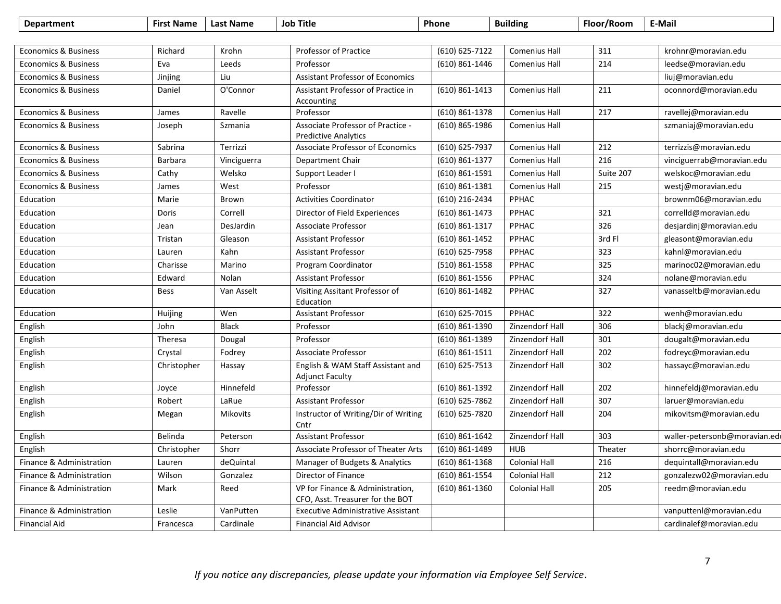| <b>Department</b>               | <b>First Name</b> | <b>Last Name</b> | <b>Job Title</b>                                                     | Phone              | <b>Building</b>      | Floor/Room | E-Mail                        |
|---------------------------------|-------------------|------------------|----------------------------------------------------------------------|--------------------|----------------------|------------|-------------------------------|
|                                 |                   |                  |                                                                      |                    |                      |            |                               |
| <b>Economics &amp; Business</b> | Richard           | Krohn            | Professor of Practice                                                | (610) 625-7122     | <b>Comenius Hall</b> | 311        | krohnr@moravian.edu           |
| <b>Economics &amp; Business</b> | Eva               | Leeds            | Professor                                                            | (610) 861-1446     | <b>Comenius Hall</b> | 214        | leedse@moravian.edu           |
| <b>Economics &amp; Business</b> | Jinjing           | Liu              | <b>Assistant Professor of Economics</b>                              |                    |                      |            | liuj@moravian.edu             |
| <b>Economics &amp; Business</b> | Daniel            | O'Connor         | Assistant Professor of Practice in                                   | (610) 861-1413     | <b>Comenius Hall</b> | 211        | oconnord@moravian.edu         |
|                                 |                   |                  | Accounting                                                           |                    |                      |            |                               |
| <b>Economics &amp; Business</b> | James             | Ravelle          | Professor                                                            | $(610)$ 861-1378   | <b>Comenius Hall</b> | 217        | ravellej@moravian.edu         |
| <b>Economics &amp; Business</b> | Joseph            | Szmania          | Associate Professor of Practice -<br><b>Predictive Analytics</b>     | (610) 865-1986     | <b>Comenius Hall</b> |            | szmaniaj@moravian.edu         |
| <b>Economics &amp; Business</b> | Sabrina           | Terrizzi         | Associate Professor of Economics                                     | (610) 625-7937     | Comenius Hall        | 212        | terrizzis@moravian.edu        |
| <b>Economics &amp; Business</b> | <b>Barbara</b>    | Vinciguerra      | Department Chair                                                     | (610) 861-1377     | <b>Comenius Hall</b> | 216        | vinciguerrab@moravian.edu     |
| <b>Economics &amp; Business</b> | Cathy             | Welsko           | Support Leader I                                                     | $(610) 861 - 1591$ | Comenius Hall        | Suite 207  | welskoc@moravian.edu          |
| <b>Economics &amp; Business</b> | James             | West             | Professor                                                            | (610) 861-1381     | <b>Comenius Hall</b> | 215        | westj@moravian.edu            |
| Education                       | Marie             | Brown            | <b>Activities Coordinator</b>                                        | (610) 216-2434     | PPHAC                |            | brownm06@moravian.edu         |
| Education                       | Doris             | Correll          | Director of Field Experiences                                        | (610) 861-1473     | <b>PPHAC</b>         | 321        | correlld@moravian.edu         |
| Education                       | Jean              | DesJardin        | <b>Associate Professor</b>                                           | (610) 861-1317     | <b>PPHAC</b>         | 326        | desjardinj@moravian.edu       |
| Education                       | Tristan           | Gleason          | <b>Assistant Professor</b>                                           | $(610) 861 - 1452$ | PPHAC                | 3rd Fl     | gleasont@moravian.edu         |
| Education                       | Lauren            | Kahn             | <b>Assistant Professor</b>                                           | (610) 625-7958     | <b>PPHAC</b>         | 323        | kahnl@moravian.edu            |
| Education                       | Charisse          | Marino           | Program Coordinator                                                  | (510) 861-1558     | PPHAC                | 325        | marinoc02@moravian.edu        |
| Education                       | Edward            | Nolan            | <b>Assistant Professor</b>                                           | (610) 861-1556     | PPHAC                | 324        | nolane@moravian.edu           |
| Education                       | <b>Bess</b>       | Van Asselt       | Visiting Assitant Professor of<br>Education                          | (610) 861-1482     | PPHAC                | 327        | vanasseltb@moravian.edu       |
| Education                       | Huijing           | Wen              | <b>Assistant Professor</b>                                           | (610) 625-7015     | PPHAC                | 322        | wenh@moravian.edu             |
| English                         | John              | <b>Black</b>     | Professor                                                            | (610) 861-1390     | Zinzendorf Hall      | 306        | blackj@moravian.edu           |
| English                         | Theresa           | Dougal           | Professor                                                            | (610) 861-1389     | Zinzendorf Hall      | 301        | dougalt@moravian.edu          |
| English                         | Crystal           | Fodrey           | Associate Professor                                                  | $(610) 861 - 1511$ | Zinzendorf Hall      | 202        | fodreyc@moravian.edu          |
| English                         | Christopher       | Hassay           | English & WAM Staff Assistant and<br><b>Adjunct Faculty</b>          | $(610) 625 - 7513$ | Zinzendorf Hall      | 302        | hassayc@moravian.edu          |
| English                         | Joyce             | Hinnefeld        | Professor                                                            | $(610) 861 - 1392$ | Zinzendorf Hall      | 202        | hinnefeldj@moravian.edu       |
| English                         | Robert            | LaRue            | <b>Assistant Professor</b>                                           | $(610) 625 - 7862$ | Zinzendorf Hall      | 307        | laruer@moravian.edu           |
| English                         | Megan             | <b>Mikovits</b>  | Instructor of Writing/Dir of Writing<br>Cntr                         | (610) 625-7820     | Zinzendorf Hall      | 204        | mikovitsm@moravian.edu        |
| English                         | Belinda           | Peterson         | <b>Assistant Professor</b>                                           | $(610) 861 - 1642$ | Zinzendorf Hall      | 303        | waller-petersonb@moravian.edu |
| English                         | Christopher       | Shorr            | Associate Professor of Theater Arts                                  | $(610) 861 - 1489$ | <b>HUB</b>           | Theater    | shorrc@moravian.edu           |
| Finance & Administration        | Lauren            | deQuintal        | Manager of Budgets & Analytics                                       | $(610)$ 861-1368   | <b>Colonial Hall</b> | 216        | dequintall@moravian.edu       |
| Finance & Administration        | Wilson            | Gonzalez         | Director of Finance                                                  | (610) 861-1554     | <b>Colonial Hall</b> | 212        | gonzalezw02@moravian.edu      |
| Finance & Administration        | Mark              | Reed             | VP for Finance & Administration,<br>CFO, Asst. Treasurer for the BOT | $(610)$ 861-1360   | <b>Colonial Hall</b> | 205        | reedm@moravian.edu            |
| Finance & Administration        | Leslie            | VanPutten        | <b>Executive Administrative Assistant</b>                            |                    |                      |            | vanputtenl@moravian.edu       |
| <b>Financial Aid</b>            | Francesca         | Cardinale        | <b>Financial Aid Advisor</b>                                         |                    |                      |            | cardinalef@moravian.edu       |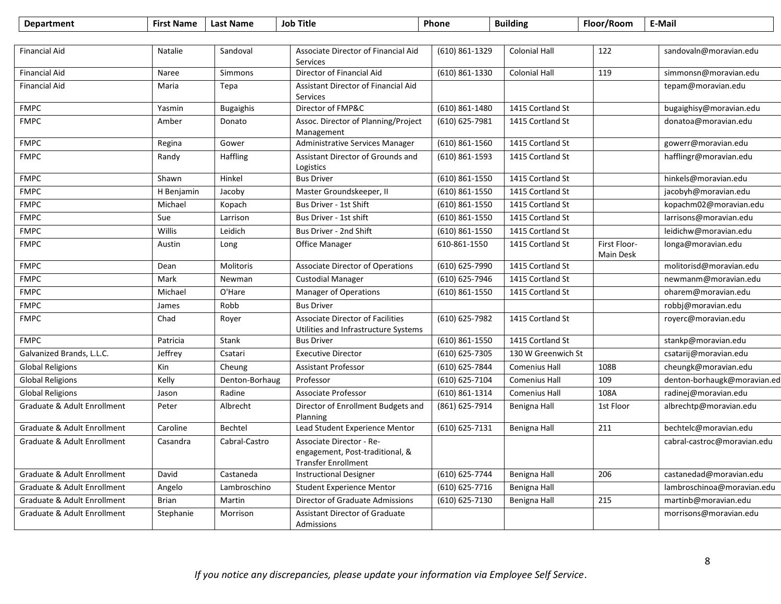| <b>Department</b>           | <b>First Name</b> | <b>Last Name</b> | <b>Job Title</b>                                                                          | Phone              | <b>Building</b>      | Floor/Room                | E-Mail                      |
|-----------------------------|-------------------|------------------|-------------------------------------------------------------------------------------------|--------------------|----------------------|---------------------------|-----------------------------|
|                             |                   |                  |                                                                                           |                    |                      |                           |                             |
| <b>Financial Aid</b>        | <b>Natalie</b>    | Sandoval         | Associate Director of Financial Aid<br>Services                                           | (610) 861-1329     | <b>Colonial Hall</b> | 122                       | sandovaln@moravian.edu      |
| <b>Financial Aid</b>        | Naree             | <b>Simmons</b>   | Director of Financial Aid                                                                 | $(610) 861 - 1330$ | <b>Colonial Hall</b> | 119                       | simmonsn@moravian.edu       |
| <b>Financial Aid</b>        | Maria             | Tepa             | Assistant Director of Financial Aid<br>Services                                           |                    |                      |                           | tepam@moravian.edu          |
| <b>FMPC</b>                 | Yasmin            | <b>Bugaighis</b> | Director of FMP&C                                                                         | $(610) 861 - 1480$ | 1415 Cortland St     |                           | bugaighisy@moravian.edu     |
| <b>FMPC</b>                 | Amber             | Donato           | Assoc. Director of Planning/Project<br>Management                                         | (610) 625-7981     | 1415 Cortland St     |                           | donatoa@moravian.edu        |
| <b>FMPC</b>                 | Regina            | Gower            | Administrative Services Manager                                                           | (610) 861-1560     | 1415 Cortland St     |                           | gowerr@moravian.edu         |
| <b>FMPC</b>                 | Randy             | Haffling         | Assistant Director of Grounds and<br>Logistics                                            | $(610)$ 861-1593   | 1415 Cortland St     |                           | hafflingr@moravian.edu      |
| <b>FMPC</b>                 | Shawn             | Hinkel           | <b>Bus Driver</b>                                                                         | $(610) 861 - 1550$ | 1415 Cortland St     |                           | hinkels@moravian.edu        |
| <b>FMPC</b>                 | H Benjamin        | Jacoby           | Master Groundskeeper, II                                                                  | $(610) 861 - 1550$ | 1415 Cortland St     |                           | jacobyh@moravian.edu        |
| <b>FMPC</b>                 | Michael           | Kopach           | Bus Driver - 1st Shift                                                                    | (610) 861-1550     | 1415 Cortland St     |                           | kopachm02@moravian.edu      |
| <b>FMPC</b>                 | Sue               | Larrison         | Bus Driver - 1st shift                                                                    | (610) 861-1550     | 1415 Cortland St     |                           | larrisons@moravian.edu      |
| <b>FMPC</b>                 | Willis            | Leidich          | Bus Driver - 2nd Shift                                                                    | (610) 861-1550     | 1415 Cortland St     |                           | leidichw@moravian.edu       |
| <b>FMPC</b>                 | Austin            | Long             | Office Manager                                                                            | 610-861-1550       | 1415 Cortland St     | First Floor-<br>Main Desk | longa@moravian.edu          |
| <b>FMPC</b>                 | Dean              | Molitoris        | <b>Associate Director of Operations</b>                                                   | (610) 625-7990     | 1415 Cortland St     |                           | molitorisd@moravian.edu     |
| <b>FMPC</b>                 | Mark              | Newman           | <b>Custodial Manager</b>                                                                  | (610) 625-7946     | 1415 Cortland St     |                           | newmanm@moravian.edu        |
| <b>FMPC</b>                 | Michael           | O'Hare           | Manager of Operations                                                                     | (610) 861-1550     | 1415 Cortland St     |                           | oharem@moravian.edu         |
| <b>FMPC</b>                 | James             | Robb             | <b>Bus Driver</b>                                                                         |                    |                      |                           | robbj@moravian.edu          |
| <b>FMPC</b>                 | Chad              | Royer            | <b>Associate Director of Facilities</b><br>Utilities and Infrastructure Systems           | (610) 625-7982     | 1415 Cortland St     |                           | royerc@moravian.edu         |
| <b>FMPC</b>                 | Patricia          | Stank            | <b>Bus Driver</b>                                                                         | $(610) 861 - 1550$ | 1415 Cortland St     |                           | stankp@moravian.edu         |
| Galvanized Brands, L.L.C.   | Jeffrey           | Csatari          | <b>Executive Director</b>                                                                 | (610) 625-7305     | 130 W Greenwich St   |                           | csatarij@moravian.edu       |
| <b>Global Religions</b>     | Kin               | Cheung           | <b>Assistant Professor</b>                                                                | (610) 625-7844     | <b>Comenius Hall</b> | 108B                      | cheungk@moravian.edu        |
| Global Religions            | Kelly             | Denton-Borhaug   | Professor                                                                                 | (610) 625-7104     | <b>Comenius Hall</b> | 109                       | denton-borhaugk@moravian.ed |
| <b>Global Religions</b>     | Jason             | Radine           | Associate Professor                                                                       | $(610) 861 - 1314$ | Comenius Hall        | 108A                      | radinej@moravian.edu        |
| Graduate & Adult Enrollment | Peter             | Albrecht         | Director of Enrollment Budgets and<br>Planning                                            | (861) 625-7914     | Benigna Hall         | 1st Floor                 | albrechtp@moravian.edu      |
| Graduate & Adult Enrollment | Caroline          | Bechtel          | Lead Student Experience Mentor                                                            | (610) 625-7131     | Benigna Hall         | 211                       | bechtelc@moravian.edu       |
| Graduate & Adult Enrollment | Casandra          | Cabral-Castro    | Associate Director - Re-<br>engagement, Post-traditional, &<br><b>Transfer Enrollment</b> |                    |                      |                           | cabral-castroc@moravian.edu |
| Graduate & Adult Enrollment | David             | Castaneda        | <b>Instructional Designer</b>                                                             | (610) 625-7744     | <b>Benigna Hall</b>  | 206                       | castanedad@moravian.edu     |
| Graduate & Adult Enrollment | Angelo            | Lambroschino     | <b>Student Experience Mentor</b>                                                          | (610) 625-7716     | Benigna Hall         |                           | lambroschinoa@moravian.edu  |
| Graduate & Adult Enrollment | <b>Brian</b>      | Martin           | Director of Graduate Admissions                                                           | (610) 625-7130     | Benigna Hall         | 215                       | martinb@moravian.edu        |
| Graduate & Adult Enrollment | Stephanie         | Morrison         | <b>Assistant Director of Graduate</b><br>Admissions                                       |                    |                      |                           | morrisons@moravian.edu      |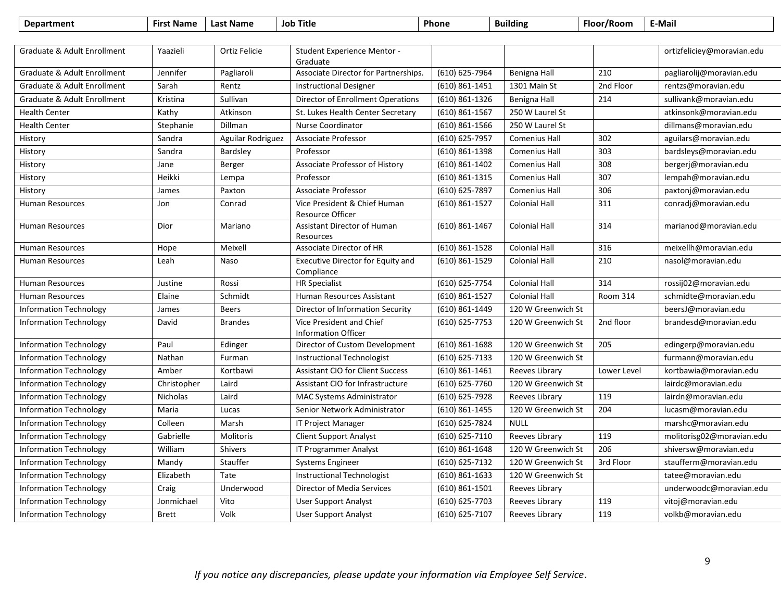| <b>Department</b>                      | <b>First Name</b> | <b>Last Name</b>  | <b>Job Title</b>                                       | Phone              | <b>Building</b>      | Floor/Room  | E-Mail                     |
|----------------------------------------|-------------------|-------------------|--------------------------------------------------------|--------------------|----------------------|-------------|----------------------------|
|                                        |                   |                   |                                                        |                    |                      |             |                            |
| Graduate & Adult Enrollment            | Yaazieli          | Ortiz Felicie     | <b>Student Experience Mentor -</b><br>Graduate         |                    |                      |             | ortizfeliciey@moravian.edu |
| Graduate & Adult Enrollment            | Jennifer          | Pagliaroli        | Associate Director for Partnerships.                   | (610) 625-7964     | <b>Benigna Hall</b>  | 210         | pagliarolij@moravian.edu   |
| Graduate & Adult Enrollment            | Sarah             | Rentz             | <b>Instructional Designer</b>                          | $(610)$ 861-1451   | 1301 Main St         | 2nd Floor   | rentzs@moravian.edu        |
| <b>Graduate &amp; Adult Enrollment</b> | Kristina          | Sullivan          | Director of Enrollment Operations                      | (610) 861-1326     | <b>Benigna Hall</b>  | 214         | sullivank@moravian.edu     |
| <b>Health Center</b>                   | Kathy             | Atkinson          | St. Lukes Health Center Secretary                      | (610) 861-1567     | 250 W Laurel St      |             | atkinsonk@moravian.edu     |
| <b>Health Center</b>                   | Stephanie         | Dillman           | Nurse Coordinator                                      | (610) 861-1566     | 250 W Laurel St      |             | dillmans@moravian.edu      |
| History                                | Sandra            | Aguilar Rodriguez | Associate Professor                                    | (610) 625-7957     | Comenius Hall        | 302         | aguilars@moravian.edu      |
| History                                | Sandra            | Bardsley          | Professor                                              | (610) 861-1398     | <b>Comenius Hall</b> | 303         | bardsleys@moravian.edu     |
| History                                | Jane              | Berger            | Associate Professor of History                         | (610) 861-1402     | Comenius Hall        | 308         | bergerj@moravian.edu       |
| History                                | Heikki            | Lempa             | Professor                                              | (610) 861-1315     | <b>Comenius Hall</b> | 307         | lempah@moravian.edu        |
| History                                | James             | Paxton            | Associate Professor                                    | (610) 625-7897     | Comenius Hall        | 306         | paxtonj@moravian.edu       |
| <b>Human Resources</b>                 | Jon               | Conrad            | Vice President & Chief Human<br>Resource Officer       | $(610)$ 861-1527   | <b>Colonial Hall</b> | 311         | conradj@moravian.edu       |
| <b>Human Resources</b>                 | Dior              | Mariano           | Assistant Director of Human<br>Resources               | (610) 861-1467     | <b>Colonial Hall</b> | 314         | marianod@moravian.edu      |
| <b>Human Resources</b>                 | Hope              | Meixell           | Associate Director of HR                               | $(610) 861 - 1528$ | <b>Colonial Hall</b> | 316         | meixellh@moravian.edu      |
| Human Resources                        | Leah              | Naso              | Executive Director for Equity and<br>Compliance        | (610) 861-1529     | <b>Colonial Hall</b> | 210         | nasol@moravian.edu         |
| <b>Human Resources</b>                 | Justine           | Rossi             | <b>HR Specialist</b>                                   | (610) 625-7754     | <b>Colonial Hall</b> | 314         | rossij02@moravian.edu      |
| <b>Human Resources</b>                 | Elaine            | Schmidt           | Human Resources Assistant                              | (610) 861-1527     | <b>Colonial Hall</b> | Room 314    | schmidte@moravian.edu      |
| <b>Information Technology</b>          | James             | <b>Beers</b>      | Director of Information Security                       | (610) 861-1449     | 120 W Greenwich St   |             | beersJ@moravian.edu        |
| <b>Information Technology</b>          | David             | <b>Brandes</b>    | Vice President and Chief<br><b>Information Officer</b> | (610) 625-7753     | 120 W Greenwich St   | 2nd floor   | brandesd@moravian.edu      |
| <b>Information Technology</b>          | Paul              | Edinger           | Director of Custom Development                         | $(610)$ 861-1688   | 120 W Greenwich St   | 205         | edingerp@moravian.edu      |
| <b>Information Technology</b>          | Nathan            | Furman            | Instructional Technologist                             | (610) 625-7133     | 120 W Greenwich St   |             | furmann@moravian.edu       |
| <b>Information Technology</b>          | Amber             | Kortbawi          | <b>Assistant CIO for Client Success</b>                | $(610) 861 - 1461$ | Reeves Library       | Lower Level | kortbawia@moravian.edu     |
| <b>Information Technology</b>          | Christopher       | Laird             | Assistant CIO for Infrastructure                       | (610) 625-7760     | 120 W Greenwich St   |             | lairdc@moravian.edu        |
| <b>Information Technology</b>          | Nicholas          | Laird             | <b>MAC Systems Administrator</b>                       | (610) 625-7928     | Reeves Library       | 119         | lairdn@moravian.edu        |
| <b>Information Technology</b>          | Maria             | Lucas             | Senior Network Administrator                           | (610) 861-1455     | 120 W Greenwich St   | 204         | lucasm@moravian.edu        |
| <b>Information Technology</b>          | Colleen           | Marsh             | <b>IT Project Manager</b>                              | (610) 625-7824     | <b>NULL</b>          |             | marshc@moravian.edu        |
| <b>Information Technology</b>          | Gabrielle         | Molitoris         | <b>Client Support Analyst</b>                          | (610) 625-7110     | Reeves Library       | 119         | molitorisg02@moravian.edu  |
| <b>Information Technology</b>          | William           | <b>Shivers</b>    | IT Programmer Analyst                                  | $(610)$ 861-1648   | 120 W Greenwich St   | 206         | shiversw@moravian.edu      |
| <b>Information Technology</b>          | Mandy             | Stauffer          | <b>Systems Engineer</b>                                | (610) 625-7132     | 120 W Greenwich St   | 3rd Floor   | staufferm@moravian.edu     |
| <b>Information Technology</b>          | Elizabeth         | Tate              | Instructional Technologist                             | $(610)$ 861-1633   | 120 W Greenwich St   |             | tatee@moravian.edu         |
| <b>Information Technology</b>          | Craig             | Underwood         | Director of Media Services                             | $(610) 861 - 1501$ | Reeves Library       |             | underwoodc@moravian.edu    |
| <b>Information Technology</b>          | Jonmichael        | Vito              | <b>User Support Analyst</b>                            | (610) 625-7703     | Reeves Library       | 119         | vitoj@moravian.edu         |
| <b>Information Technology</b>          | <b>Brett</b>      | Volk              | <b>User Support Analyst</b>                            | (610) 625-7107     | Reeves Library       | 119         | volkb@moravian.edu         |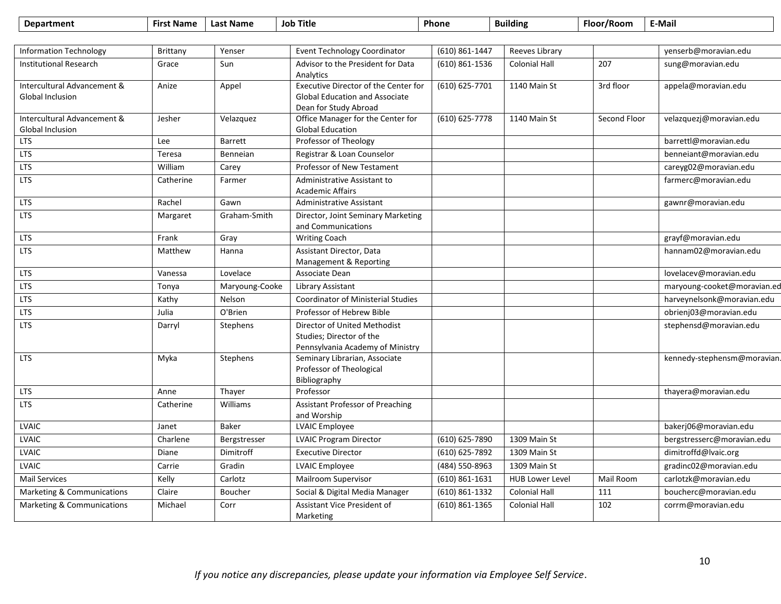| <b>Department</b>                               | <b>First Name</b> | <b>Last Name</b> | <b>Job Title</b>                                                                                       | Phone              | <b>Building</b>      | Floor/Room   | E-Mail                      |
|-------------------------------------------------|-------------------|------------------|--------------------------------------------------------------------------------------------------------|--------------------|----------------------|--------------|-----------------------------|
|                                                 |                   |                  |                                                                                                        |                    |                      |              |                             |
| <b>Information Technology</b>                   | Brittany          | Yenser           | <b>Event Technology Coordinator</b>                                                                    | (610) 861-1447     | Reeves Library       |              | yenserb@moravian.edu        |
| <b>Institutional Research</b>                   | Grace             | Sun              | Advisor to the President for Data<br>Analytics                                                         | (610) 861-1536     | <b>Colonial Hall</b> | 207          | sung@moravian.edu           |
| Intercultural Advancement &<br>Global Inclusion | Anize             | Appel            | Executive Director of the Center for<br><b>Global Education and Associate</b><br>Dean for Study Abroad | (610) 625-7701     | 1140 Main St         | 3rd floor    | appela@moravian.edu         |
| Intercultural Advancement &<br>Global Inclusion | Jesher            | Velazquez        | Office Manager for the Center for<br><b>Global Education</b>                                           | (610) 625-7778     | 1140 Main St         | Second Floor | velazquezj@moravian.edu     |
| <b>LTS</b>                                      | Lee               | Barrett          | Professor of Theology                                                                                  |                    |                      |              | barrettl@moravian.edu       |
| <b>LTS</b>                                      | Teresa            | Benneian         | Registrar & Loan Counselor                                                                             |                    |                      |              | benneiant@moravian.edu      |
| <b>LTS</b>                                      | William           | Carey            | Professor of New Testament                                                                             |                    |                      |              | careyg02@moravian.edu       |
| <b>LTS</b>                                      | Catherine         | Farmer           | Administrative Assistant to<br><b>Academic Affairs</b>                                                 |                    |                      |              | farmerc@moravian.edu        |
| <b>LTS</b>                                      | Rachel            | Gawn             | Administrative Assistant                                                                               |                    |                      |              | gawnr@moravian.edu          |
| <b>LTS</b>                                      | Margaret          | Graham-Smith     | Director, Joint Seminary Marketing<br>and Communications                                               |                    |                      |              |                             |
| <b>LTS</b>                                      | Frank             | Gray             | <b>Writing Coach</b>                                                                                   |                    |                      |              | grayf@moravian.edu          |
| <b>LTS</b>                                      | Matthew           | Hanna            | Assistant Director, Data<br>Management & Reporting                                                     |                    |                      |              | hannam02@moravian.edu       |
| <b>LTS</b>                                      | Vanessa           | Lovelace         | Associate Dean                                                                                         |                    |                      |              | lovelacev@moravian.edu      |
| <b>LTS</b>                                      | Tonya             | Maryoung-Cooke   | Library Assistant                                                                                      |                    |                      |              | maryoung-cooket@moravian.ed |
| <b>LTS</b>                                      | Kathy             | Nelson           | <b>Coordinator of Ministerial Studies</b>                                                              |                    |                      |              | harveynelsonk@moravian.edu  |
| <b>LTS</b>                                      | Julia             | O'Brien          | Professor of Hebrew Bible                                                                              |                    |                      |              | obrienj03@moravian.edu      |
| <b>LTS</b>                                      | Darryl            | Stephens         | Director of United Methodist<br>Studies; Director of the<br>Pennsylvania Academy of Ministry           |                    |                      |              | stephensd@moravian.edu      |
| <b>LTS</b>                                      | Myka              | Stephens         | Seminary Librarian, Associate<br>Professor of Theological<br>Bibliography                              |                    |                      |              | kennedy-stephensm@moravian. |
| <b>LTS</b>                                      | Anne              | Thayer           | Professor                                                                                              |                    |                      |              | thayera@moravian.edu        |
| <b>LTS</b>                                      | Catherine         | Williams         | <b>Assistant Professor of Preaching</b><br>and Worship                                                 |                    |                      |              |                             |
| LVAIC                                           | Janet             | <b>Baker</b>     | LVAIC Employee                                                                                         |                    |                      |              | bakerj06@moravian.edu       |
| <b>LVAIC</b>                                    | Charlene          | Bergstresser     | <b>LVAIC Program Director</b>                                                                          | (610) 625-7890     | 1309 Main St         |              | bergstresserc@moravian.edu  |
| LVAIC                                           | Diane             | Dimitroff        | <b>Executive Director</b>                                                                              | (610) 625-7892     | 1309 Main St         |              | dimitroffd@lvaic.org        |
| LVAIC                                           | Carrie            | Gradin           | <b>LVAIC Employee</b>                                                                                  | (484) 550-8963     | 1309 Main St         |              | gradinc02@moravian.edu      |
| Mail Services                                   | Kelly             | Carlotz          | Mailroom Supervisor                                                                                    | $(610) 861 - 1631$ | HUB Lower Level      | Mail Room    | carlotzk@moravian.edu       |
| Marketing & Communications                      | Claire            | Boucher          | Social & Digital Media Manager                                                                         | (610) 861-1332     | <b>Colonial Hall</b> | 111          | boucherc@moravian.edu       |
| Marketing & Communications                      | Michael           | Corr             | Assistant Vice President of<br>Marketing                                                               | (610) 861-1365     | <b>Colonial Hall</b> | 102          | corrm@moravian.edu          |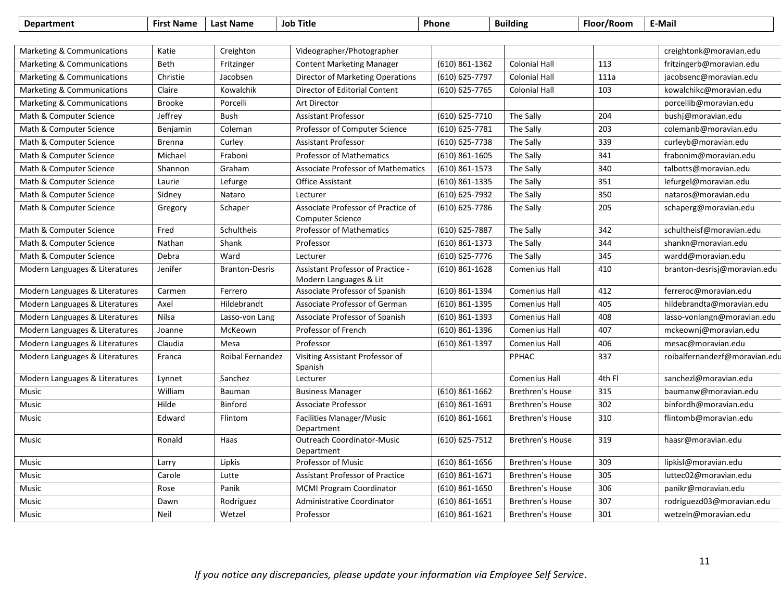| <b>Department</b>              | <b>First Name</b> | <b>Last Name</b>      | <b>Job Title</b>                                              | Phone              | <b>Building</b>         | Floor/Room | E-Mail                        |
|--------------------------------|-------------------|-----------------------|---------------------------------------------------------------|--------------------|-------------------------|------------|-------------------------------|
|                                |                   |                       |                                                               |                    |                         |            |                               |
| Marketing & Communications     | Katie             | Creighton             | Videographer/Photographer                                     |                    |                         |            | creightonk@moravian.edu       |
| Marketing & Communications     | Beth              | Fritzinger            | <b>Content Marketing Manager</b>                              | $(610) 861 - 1362$ | <b>Colonial Hall</b>    | 113        | fritzingerb@moravian.edu      |
| Marketing & Communications     | Christie          | Jacobsen              | Director of Marketing Operations                              | (610) 625-7797     | <b>Colonial Hall</b>    | 111a       | jacobsenc@moravian.edu        |
| Marketing & Communications     | Claire            | Kowalchik             | Director of Editorial Content                                 | (610) 625-7765     | <b>Colonial Hall</b>    | 103        | kowalchikc@moravian.edu       |
| Marketing & Communications     | <b>Brooke</b>     | Porcelli              | <b>Art Director</b>                                           |                    |                         |            | porcellib@moravian.edu        |
| Math & Computer Science        | Jeffrey           | <b>Bush</b>           | <b>Assistant Professor</b>                                    | (610) 625-7710     | The Sally               | 204        | bushj@moravian.edu            |
| Math & Computer Science        | Benjamin          | Coleman               | Professor of Computer Science                                 | (610) 625-7781     | The Sally               | 203        | colemanb@moravian.edu         |
| Math & Computer Science        | <b>Brenna</b>     | Curley                | <b>Assistant Professor</b>                                    | (610) 625-7738     | The Sally               | 339        | curleyb@moravian.edu          |
| Math & Computer Science        | Michael           | Fraboni               | <b>Professor of Mathematics</b>                               | $(610) 861 - 1605$ | The Sally               | 341        | frabonim@moravian.edu         |
| Math & Computer Science        | Shannon           | Graham                | <b>Associate Professor of Mathematics</b>                     | (610) 861-1573     | The Sally               | 340        | talbotts@moravian.edu         |
| Math & Computer Science        | Laurie            | Lefurge               | <b>Office Assistant</b>                                       | (610) 861-1335     | The Sally               | 351        | lefurgel@moravian.edu         |
| Math & Computer Science        | Sidney            | Nataro                | Lecturer                                                      | (610) 625-7932     | The Sally               | 350        | nataros@moravian.edu          |
| Math & Computer Science        | Gregory           | Schaper               | Associate Professor of Practice of<br><b>Computer Science</b> | (610) 625-7786     | The Sally               | 205        | schaperg@moravian.edu         |
| Math & Computer Science        | Fred              | Schultheis            | <b>Professor of Mathematics</b>                               | (610) 625-7887     | The Sally               | 342        | schultheisf@moravian.edu      |
| Math & Computer Science        | Nathan            | Shank                 | Professor                                                     | $(610) 861 - 1373$ | The Sally               | 344        | shankn@moravian.edu           |
| Math & Computer Science        | Debra             | Ward                  | Lecturer                                                      | (610) 625-7776     | The Sally               | 345        | wardd@moravian.edu            |
| Modern Languages & Literatures | Jenifer           | <b>Branton-Desris</b> | Assistant Professor of Practice -<br>Modern Languages & Lit   | $(610) 861 - 1628$ | Comenius Hall           | 410        | branton-desrisj@moravian.edu  |
| Modern Languages & Literatures | Carmen            | Ferrero               | Associate Professor of Spanish                                | $(610) 861 - 1394$ | <b>Comenius Hall</b>    | 412        | ferreroc@moravian.edu         |
| Modern Languages & Literatures | Axel              | Hildebrandt           | Associate Professor of German                                 | $(610) 861 - 1395$ | Comenius Hall           | 405        | hildebrandta@moravian.edu     |
| Modern Languages & Literatures | Nilsa             | Lasso-von Lang        | Associate Professor of Spanish                                | (610) 861-1393     | <b>Comenius Hall</b>    | 408        | lasso-vonlangn@moravian.edu   |
| Modern Languages & Literatures | Joanne            | McKeown               | Professor of French                                           | $(610) 861 - 1396$ | Comenius Hall           | 407        | mckeownj@moravian.edu         |
| Modern Languages & Literatures | Claudia           | Mesa                  | Professor                                                     | (610) 861-1397     | <b>Comenius Hall</b>    | 406        | mesac@moravian.edu            |
| Modern Languages & Literatures | Franca            | Roibal Fernandez      | Visiting Assistant Professor of<br>Spanish                    |                    | <b>PPHAC</b>            | 337        | roibalfernandezf@moravian.edu |
| Modern Languages & Literatures | Lynnet            | Sanchez               | Lecturer                                                      |                    | <b>Comenius Hall</b>    | 4th Fl     | sanchezl@moravian.edu         |
| Music                          | William           | Bauman                | <b>Business Manager</b>                                       | $(610) 861 - 1662$ | <b>Brethren's House</b> | 315        | baumanw@moravian.edu          |
| Music                          | Hilde             | Binford               | <b>Associate Professor</b>                                    | $(610) 861 - 1691$ | Brethren's House        | 302        | binfordh@moravian.edu         |
| Music                          | Edward            | Flintom               | <b>Facilities Manager/Music</b><br>Department                 | $(610) 861 - 1661$ | <b>Brethren's House</b> | 310        | flintomb@moravian.edu         |
| Music                          | Ronald            | Haas                  | <b>Outreach Coordinator-Music</b><br>Department               | (610) 625-7512     | <b>Brethren's House</b> | 319        | haasr@moravian.edu            |
| Music                          | Larry             | Lipkis                | Professor of Music                                            | $(610)$ 861-1656   | <b>Brethren's House</b> | 309        | lipkisl@moravian.edu          |
| Music                          | Carole            | Lutte                 | <b>Assistant Professor of Practice</b>                        | $(610) 861 - 1671$ | <b>Brethren's House</b> | 305        | luttec02@moravian.edu         |
| Music                          | Rose              | Panik                 | <b>MCMI Program Coordinator</b>                               | $(610)$ 861-1650   | <b>Brethren's House</b> | 306        | panikr@moravian.edu           |
| Music                          | Dawn              | Rodriguez             | Administrative Coordinator                                    | $(610)$ 861-1651   | <b>Brethren's House</b> | 307        | rodriguezd03@moravian.edu     |
| Music                          | Neil              | Wetzel                | Professor                                                     | $(610) 861 - 1621$ | <b>Brethren's House</b> | 301        | wetzeln@moravian.edu          |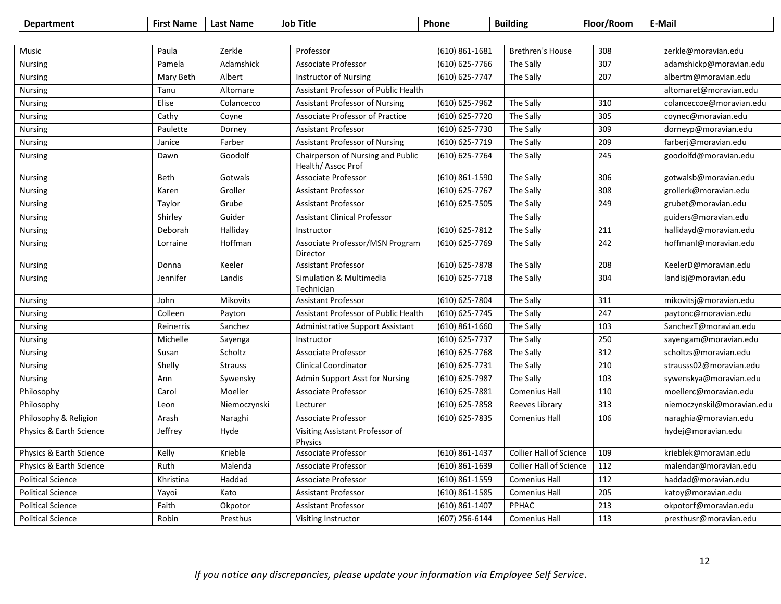| <b>Department</b>        | <b>First Name</b> | <b>Last Name</b> | <b>Job Title</b>                                        | Phone                       | <b>Building</b>                | Floor/Room | E-Mail                     |
|--------------------------|-------------------|------------------|---------------------------------------------------------|-----------------------------|--------------------------------|------------|----------------------------|
|                          |                   |                  |                                                         |                             |                                |            |                            |
| Music                    | Paula             | Zerkle           | Professor                                               | $(610) 861 - 1681$          | <b>Brethren's House</b>        | 308        | zerkle@moravian.edu        |
| <b>Nursing</b>           | Pamela            | Adamshick        | <b>Associate Professor</b>                              | (610) 625-7766              | The Sally                      | 307        | adamshickp@moravian.edu    |
| <b>Nursing</b>           | Mary Beth         | Albert           | <b>Instructor of Nursing</b>                            | (610) 625-7747              | The Sally                      | 207        | albertm@moravian.edu       |
| <b>Nursing</b>           | Tanu              | Altomare         | Assistant Professor of Public Health                    |                             |                                |            | altomaret@moravian.edu     |
| <b>Nursing</b>           | Elise             | Colancecco       | <b>Assistant Professor of Nursing</b>                   | (610) 625-7962              | The Sally                      | 310        | colanceccoe@moravian.edu   |
| Nursing                  | Cathy             | Coyne            | <b>Associate Professor of Practice</b>                  | (610) 625-7720              | The Sally                      | 305        | coynec@moravian.edu        |
| <b>Nursing</b>           | Paulette          | Dorney           | <b>Assistant Professor</b>                              | $\overline{(610)}$ 625-7730 | The Sally                      | 309        | dorneyp@moravian.edu       |
| <b>Nursing</b>           | Janice            | Farber           | <b>Assistant Professor of Nursing</b>                   | (610) 625-7719              | The Sally                      | 209        | farberj@moravian.edu       |
| <b>Nursing</b>           | Dawn              | Goodolf          | Chairperson of Nursing and Public<br>Health/ Assoc Prof | (610) 625-7764              | The Sally                      | 245        | goodolfd@moravian.edu      |
| Nursing                  | Beth              | Gotwals          | <b>Associate Professor</b>                              | (610) 861-1590              | The Sally                      | 306        | gotwalsb@moravian.edu      |
| Nursing                  | Karen             | Groller          | <b>Assistant Professor</b>                              | (610) 625-7767              | The Sally                      | 308        | grollerk@moravian.edu      |
| Nursing                  | Taylor            | Grube            | <b>Assistant Professor</b>                              | (610) 625-7505              | The Sally                      | 249        | grubet@moravian.edu        |
| <b>Nursing</b>           | Shirley           | Guider           | <b>Assistant Clinical Professor</b>                     |                             | The Sally                      |            | guiders@moravian.edu       |
| <b>Nursing</b>           | Deborah           | Halliday         | Instructor                                              | (610) 625-7812              | The Sally                      | 211        | hallidayd@moravian.edu     |
| Nursing                  | Lorraine          | Hoffman          | Associate Professor/MSN Program<br>Director             | (610) 625-7769              | The Sally                      | 242        | hoffmanl@moravian.edu      |
| <b>Nursing</b>           | Donna             | Keeler           | <b>Assistant Professor</b>                              | (610) 625-7878              | The Sally                      | 208        | KeelerD@moravian.edu       |
| Nursing                  | Jennifer          | Landis           | Simulation & Multimedia<br>Technician                   | (610) 625-7718              | The Sally                      | 304        | landisj@moravian.edu       |
| <b>Nursing</b>           | John              | Mikovits         | <b>Assistant Professor</b>                              | (610) 625-7804              | The Sally                      | 311        | mikovitsj@moravian.edu     |
| Nursing                  | Colleen           | Payton           | Assistant Professor of Public Health                    | (610) 625-7745              | The Sally                      | 247        | paytonc@moravian.edu       |
| <b>Nursing</b>           | Reinerris         | Sanchez          | Administrative Support Assistant                        | $(610)$ 861-1660            | The Sally                      | 103        | SanchezT@moravian.edu      |
| <b>Nursing</b>           | Michelle          | Sayenga          | Instructor                                              | (610) 625-7737              | The Sally                      | 250        | sayengam@moravian.edu      |
| Nursing                  | Susan             | Scholtz          | <b>Associate Professor</b>                              | (610) 625-7768              | The Sally                      | 312        | scholtzs@moravian.edu      |
| <b>Nursing</b>           | Shelly            | <b>Strauss</b>   | <b>Clinical Coordinator</b>                             | (610) 625-7731              | The Sally                      | 210        | strausss02@moravian.edu    |
| <b>Nursing</b>           | Ann               | Sywensky         | Admin Support Asst for Nursing                          | (610) 625-7987              | The Sally                      | 103        | sywenskya@moravian.edu     |
| Philosophy               | Carol             | Moeller          | <b>Associate Professor</b>                              | (610) 625-7881              | <b>Comenius Hall</b>           | 110        | moellerc@moravian.edu      |
| Philosophy               | Leon              | Niemoczynski     | Lecturer                                                | (610) 625-7858              | Reeves Library                 | 313        | niemoczynskil@moravian.edu |
| Philosophy & Religion    | Arash             | Naraghi          | <b>Associate Professor</b>                              | (610) 625-7835              | Comenius Hall                  | 106        | naraghia@moravian.edu      |
| Physics & Earth Science  | Jeffrey           | Hyde             | Visiting Assistant Professor of<br>Physics              |                             |                                |            | hydej@moravian.edu         |
| Physics & Earth Science  | Kelly             | Krieble          | Associate Professor                                     | (610) 861-1437              | <b>Collier Hall of Science</b> | 109        | krieblek@moravian.edu      |
| Physics & Earth Science  | Ruth              | Malenda          | Associate Professor                                     | (610) 861-1639              | <b>Collier Hall of Science</b> | 112        | malendar@moravian.edu      |
| <b>Political Science</b> | Khristina         | Haddad           | <b>Associate Professor</b>                              | (610) 861-1559              | Comenius Hall                  | 112        | haddad@moravian.edu        |
| <b>Political Science</b> | Yayoi             | Kato             | <b>Assistant Professor</b>                              | (610) 861-1585              | <b>Comenius Hall</b>           | 205        | katoy@moravian.edu         |
| <b>Political Science</b> | Faith             | Okpotor          | <b>Assistant Professor</b>                              | (610) 861-1407              | PPHAC                          | 213        | okpotorf@moravian.edu      |
| <b>Political Science</b> | Robin             | Presthus         | Visiting Instructor                                     | (607) 256-6144              | <b>Comenius Hall</b>           | 113        | presthusr@moravian.edu     |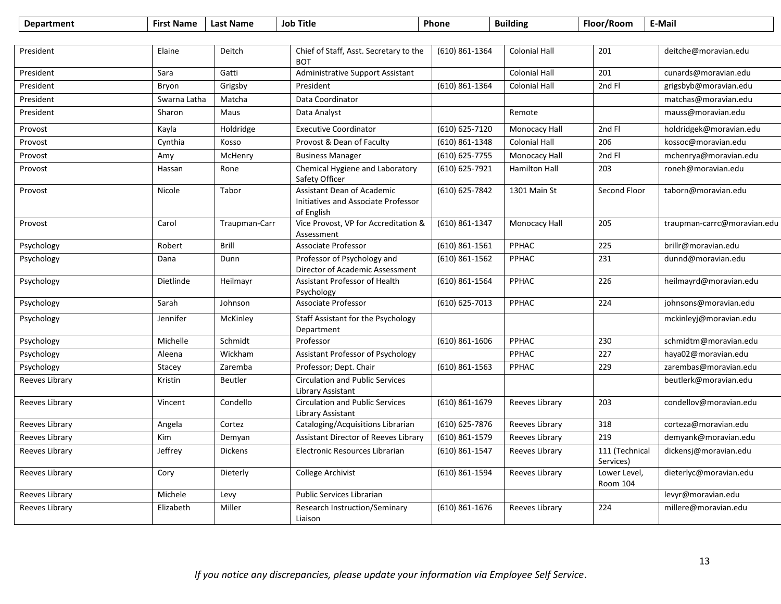| <b>Department</b> | <b>First Name</b> | <b>Last Name</b> | <b>Job Title</b>                                                                       | Phone              | <b>Building</b>      | Floor/Room                  | <b>E-Mail</b>               |
|-------------------|-------------------|------------------|----------------------------------------------------------------------------------------|--------------------|----------------------|-----------------------------|-----------------------------|
|                   |                   |                  |                                                                                        |                    |                      |                             |                             |
| President         | Elaine            | Deitch           | Chief of Staff, Asst. Secretary to the<br><b>BOT</b>                                   | (610) 861-1364     | <b>Colonial Hall</b> | 201                         | deitche@moravian.edu        |
| President         | Sara              | Gatti            | Administrative Support Assistant                                                       |                    | <b>Colonial Hall</b> | 201                         | cunards@moravian.edu        |
| President         | Bryon             | Grigsby          | President                                                                              | (610) 861-1364     | <b>Colonial Hall</b> | 2nd Fl                      | grigsbyb@moravian.edu       |
| President         | Swarna Latha      | Matcha           | Data Coordinator                                                                       |                    |                      |                             | matchas@moravian.edu        |
| President         | Sharon            | Maus             | Data Analyst                                                                           |                    | Remote               |                             | mauss@moravian.edu          |
| Provost           | Kayla             | Holdridge        | <b>Executive Coordinator</b>                                                           | (610) 625-7120     | Monocacy Hall        | 2nd Fl                      | holdridgek@moravian.edu     |
| Provost           | Cynthia           | Kosso            | Provost & Dean of Faculty                                                              | (610) 861-1348     | <b>Colonial Hall</b> | 206                         | kossoc@moravian.edu         |
| Provost           | Amy               | McHenry          | <b>Business Manager</b>                                                                | (610) 625-7755     | Monocacy Hall        | 2nd Fl                      | mchenrya@moravian.edu       |
| Provost           | Hassan            | Rone             | Chemical Hygiene and Laboratory<br>Safety Officer                                      | (610) 625-7921     | <b>Hamilton Hall</b> | 203                         | roneh@moravian.edu          |
| Provost           | Nicole            | Tabor            | <b>Assistant Dean of Academic</b><br>Initiatives and Associate Professor<br>of English | (610) 625-7842     | 1301 Main St         | Second Floor                | taborn@moravian.edu         |
| Provost           | Carol             | Traupman-Carr    | Vice Provost, VP for Accreditation &<br>Assessment                                     | (610) 861-1347     | Monocacy Hall        | 205                         | traupman-carrc@moravian.edu |
| Psychology        | Robert            | <b>Brill</b>     | <b>Associate Professor</b>                                                             | $(610) 861 - 1561$ | PPHAC                | 225                         | brillr@moravian.edu         |
| Psychology        | Dana              | Dunn             | Professor of Psychology and<br>Director of Academic Assessment                         | (610) 861-1562     | PPHAC                | 231                         | dunnd@moravian.edu          |
| Psychology        | Dietlinde         | Heilmayr         | Assistant Professor of Health<br>Psychology                                            | (610) 861-1564     | PPHAC                | 226                         | heilmayrd@moravian.edu      |
| Psychology        | Sarah             | Johnson          | <b>Associate Professor</b>                                                             | (610) 625-7013     | PPHAC                | 224                         | johnsons@moravian.edu       |
| Psychology        | Jennifer          | McKinley         | Staff Assistant for the Psychology<br>Department                                       |                    |                      |                             | mckinleyj@moravian.edu      |
| Psychology        | Michelle          | Schmidt          | Professor                                                                              | $(610)$ 861-1606   | PPHAC                | 230                         | schmidtm@moravian.edu       |
| Psychology        | Aleena            | Wickham          | Assistant Professor of Psychology                                                      |                    | PPHAC                | 227                         | haya02@moravian.edu         |
| Psychology        | Stacey            | Zaremba          | Professor; Dept. Chair                                                                 | (610) 861-1563     | PPHAC                | 229                         | zarembas@moravian.edu       |
| Reeves Library    | Kristin           | <b>Beutler</b>   | <b>Circulation and Public Services</b><br>Library Assistant                            |                    |                      |                             | beutlerk@moravian.edu       |
| Reeves Library    | Vincent           | Condello         | <b>Circulation and Public Services</b><br>Library Assistant                            | (610) 861-1679     | Reeves Library       | 203                         | condellov@moravian.edu      |
| Reeves Library    | Angela            | Cortez           | Cataloging/Acquisitions Librarian                                                      | (610) 625-7876     | Reeves Library       | 318                         | corteza@moravian.edu        |
| Reeves Library    | Kim               | Demyan           | Assistant Director of Reeves Library                                                   | (610) 861-1579     | Reeves Library       | 219                         | demyank@moravian.edu        |
| Reeves Library    | Jeffrey           | <b>Dickens</b>   | Electronic Resources Librarian                                                         | $(610) 861 - 1547$ | Reeves Library       | 111 (Technical<br>Services) | dickensj@moravian.edu       |
| Reeves Library    | Cory              | Dieterly         | <b>College Archivist</b>                                                               | (610) 861-1594     | Reeves Library       | Lower Level,<br>Room 104    | dieterlyc@moravian.edu      |
| Reeves Library    | Michele           | Levy             | Public Services Librarian                                                              |                    |                      |                             | levyr@moravian.edu          |
| Reeves Library    | Elizabeth         | Miller           | Research Instruction/Seminary<br>Liaison                                               | (610) 861-1676     | Reeves Library       | 224                         | millere@moravian.edu        |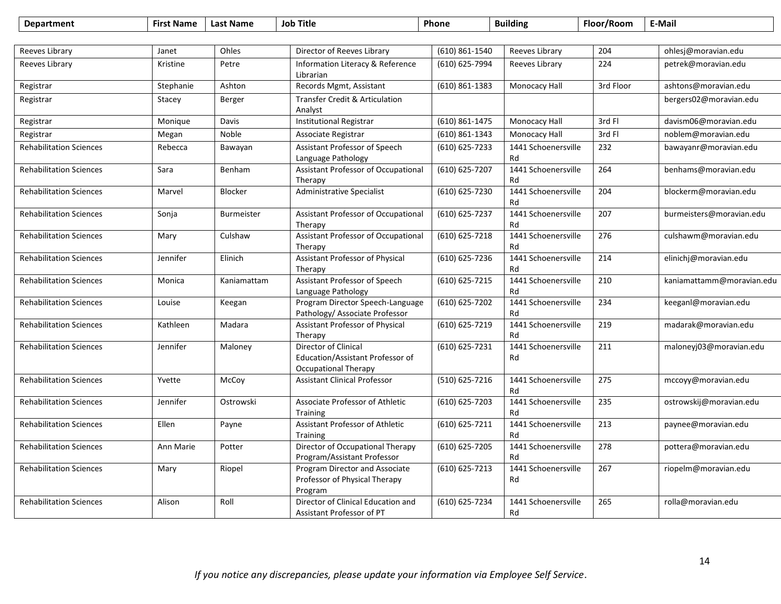| <b>Department</b>              | <b>First Name</b> | <b>Last Name</b>  | <b>Job Title</b>                                                                        | Phone              | <b>Building</b>           | Floor/Room | E-Mail                    |
|--------------------------------|-------------------|-------------------|-----------------------------------------------------------------------------------------|--------------------|---------------------------|------------|---------------------------|
|                                |                   |                   |                                                                                         |                    |                           |            |                           |
| Reeves Library                 | Janet             | Ohles             | Director of Reeves Library                                                              | (610) 861-1540     | Reeves Library            | 204        | ohlesj@moravian.edu       |
| Reeves Library                 | Kristine          | Petre             | Information Literacy & Reference<br>Librarian                                           | (610) 625-7994     | Reeves Library            | 224        | petrek@moravian.edu       |
| Registrar                      | Stephanie         | Ashton            | Records Mgmt, Assistant                                                                 | $(610) 861 - 1383$ | Monocacy Hall             | 3rd Floor  | ashtons@moravian.edu      |
| Registrar                      | Stacey            | Berger            | Transfer Credit & Articulation<br>Analyst                                               |                    |                           |            | bergers02@moravian.edu    |
| Registrar                      | Monique           | Davis             | <b>Institutional Registrar</b>                                                          | $(610) 861 - 1475$ | Monocacy Hall             | 3rd Fl     | davism06@moravian.edu     |
| Registrar                      | Megan             | Noble             | Associate Registrar                                                                     | (610) 861-1343     | Monocacy Hall             | 3rd Fl     | noblem@moravian.edu       |
| <b>Rehabilitation Sciences</b> | Rebecca           | Bawayan           | Assistant Professor of Speech<br>Language Pathology                                     | (610) 625-7233     | 1441 Schoenersville<br>Rd | 232        | bawayanr@moravian.edu     |
| <b>Rehabilitation Sciences</b> | Sara              | Benham            | Assistant Professor of Occupational<br>Therapy                                          | (610) 625-7207     | 1441 Schoenersville<br>Rd | 264        | benhams@moravian.edu      |
| <b>Rehabilitation Sciences</b> | Marvel            | Blocker           | Administrative Specialist                                                               | (610) 625-7230     | 1441 Schoenersville<br>Rd | 204        | blockerm@moravian.edu     |
| <b>Rehabilitation Sciences</b> | Sonja             | <b>Burmeister</b> | Assistant Professor of Occupational<br>Therapy                                          | $(610) 625 - 7237$ | 1441 Schoenersville<br>Rd | 207        | burmeisters@moravian.edu  |
| <b>Rehabilitation Sciences</b> | Mary              | Culshaw           | <b>Assistant Professor of Occupational</b><br>Therapy                                   | $(610) 625 - 7218$ | 1441 Schoenersville<br>Rd | 276        | culshawm@moravian.edu     |
| <b>Rehabilitation Sciences</b> | Jennifer          | Elinich           | <b>Assistant Professor of Physical</b><br>Therapy                                       | (610) 625-7236     | 1441 Schoenersville<br>Rd | 214        | elinichj@moravian.edu     |
| <b>Rehabilitation Sciences</b> | Monica            | Kaniamattam       | Assistant Professor of Speech<br>Language Pathology                                     | (610) 625-7215     | 1441 Schoenersville<br>Rd | 210        | kaniamattamm@moravian.edu |
| <b>Rehabilitation Sciences</b> | Louise            | Keegan            | Program Director Speech-Language<br>Pathology/ Associate Professor                      | (610) 625-7202     | 1441 Schoenersville<br>Rd | 234        | keeganl@moravian.edu      |
| <b>Rehabilitation Sciences</b> | Kathleen          | Madara            | <b>Assistant Professor of Physical</b><br>Therapy                                       | (610) 625-7219     | 1441 Schoenersville<br>Rd | 219        | madarak@moravian.edu      |
| <b>Rehabilitation Sciences</b> | Jennifer          | Maloney           | Director of Clinical<br>Education/Assistant Professor of<br><b>Occupational Therapy</b> | (610) 625-7231     | 1441 Schoenersville<br>Rd | 211        | maloneyj03@moravian.edu   |
| <b>Rehabilitation Sciences</b> | Yvette            | McCoy             | <b>Assistant Clinical Professor</b>                                                     | (510) 625-7216     | 1441 Schoenersville<br>Rd | 275        | mccoyy@moravian.edu       |
| <b>Rehabilitation Sciences</b> | Jennifer          | Ostrowski         | Associate Professor of Athletic<br>Training                                             | (610) 625-7203     | 1441 Schoenersville<br>Rd | 235        | ostrowskij@moravian.edu   |
| <b>Rehabilitation Sciences</b> | Ellen             | Payne             | Assistant Professor of Athletic<br>Training                                             | (610) 625-7211     | 1441 Schoenersville<br>Rd | 213        | paynee@moravian.edu       |
| <b>Rehabilitation Sciences</b> | Ann Marie         | Potter            | Director of Occupational Therapy<br>Program/Assistant Professor                         | (610) 625-7205     | 1441 Schoenersville<br>Rd | 278        | pottera@moravian.edu      |
| <b>Rehabilitation Sciences</b> | Mary              | Riopel            | Program Director and Associate<br>Professor of Physical Therapy<br>Program              | (610) 625-7213     | 1441 Schoenersville<br>Rd | 267        | riopelm@moravian.edu      |
| <b>Rehabilitation Sciences</b> | Alison            | Roll              | Director of Clinical Education and<br>Assistant Professor of PT                         | (610) 625-7234     | 1441 Schoenersville<br>Rd | 265        | rolla@moravian.edu        |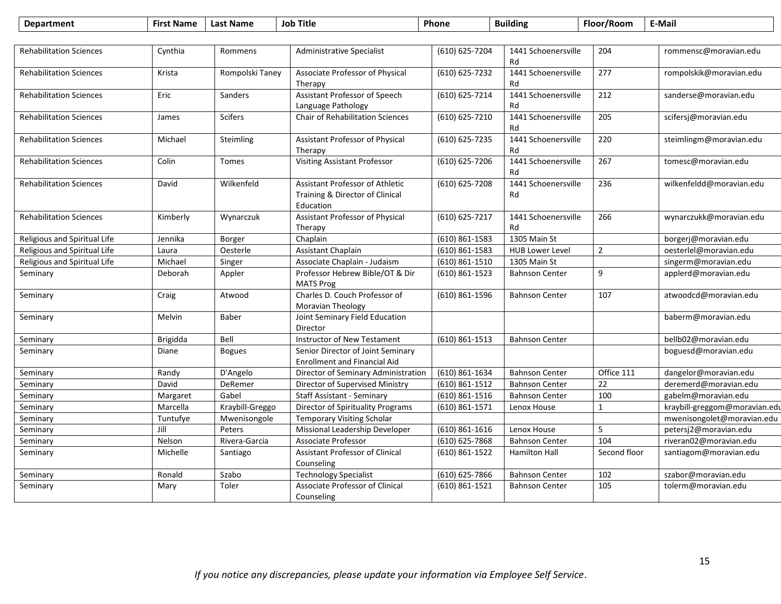| <b>Department</b>              | <b>First Name</b> | <b>Last Name</b> | <b>Job Title</b>                                                                       | Phone              | <b>Building</b>           | Floor/Room      | E-Mail                        |
|--------------------------------|-------------------|------------------|----------------------------------------------------------------------------------------|--------------------|---------------------------|-----------------|-------------------------------|
|                                |                   |                  |                                                                                        |                    |                           |                 |                               |
| <b>Rehabilitation Sciences</b> | Cynthia           | Rommens          | <b>Administrative Specialist</b>                                                       | (610) 625-7204     | 1441 Schoenersville<br>Rd | 204             | rommensc@moravian.edu         |
| <b>Rehabilitation Sciences</b> | Krista            | Rompolski Taney  | Associate Professor of Physical<br>Therapy                                             | (610) 625-7232     | 1441 Schoenersville<br>Rd | 277             | rompolskik@moravian.edu       |
| <b>Rehabilitation Sciences</b> | Eric              | Sanders          | Assistant Professor of Speech<br>Language Pathology                                    | (610) 625-7214     | 1441 Schoenersville<br>Rd | 212             | sanderse@moravian.edu         |
| <b>Rehabilitation Sciences</b> | James             | <b>Scifers</b>   | <b>Chair of Rehabilitation Sciences</b>                                                | (610) 625-7210     | 1441 Schoenersville<br>Rd | 205             | scifersj@moravian.edu         |
| <b>Rehabilitation Sciences</b> | Michael           | Steimling        | Assistant Professor of Physical<br>Therapy                                             | (610) 625-7235     | 1441 Schoenersville<br>Rd | 220             | steimlingm@moravian.edu       |
| <b>Rehabilitation Sciences</b> | Colin             | Tomes            | <b>Visiting Assistant Professor</b>                                                    | (610) 625-7206     | 1441 Schoenersville<br>Rd | 267             | tomesc@moravian.edu           |
| <b>Rehabilitation Sciences</b> | David             | Wilkenfeld       | <b>Assistant Professor of Athletic</b><br>Training & Director of Clinical<br>Education | (610) 625-7208     | 1441 Schoenersville<br>Rd | 236             | wilkenfeldd@moravian.edu      |
| <b>Rehabilitation Sciences</b> | Kimberly          | Wynarczuk        | Assistant Professor of Physical<br>Therapy                                             | (610) 625-7217     | 1441 Schoenersville<br>Rd | 266             | wynarczukk@moravian.edu       |
| Religious and Spiritual Life   | Jennika           | Borger           | Chaplain                                                                               | $(610) 861 - 1583$ | 1305 Main St              |                 | borgerj@moravian.edu          |
| Religious and Spiritual Life   | Laura             | Oesterle         | Assistant Chaplain                                                                     | $(610) 861 - 1583$ | <b>HUB Lower Level</b>    | $\overline{2}$  | oesterlel@moravian.edu        |
| Religious and Spiritual Life   | Michael           | Singer           | Associate Chaplain - Judaism                                                           | $(610)$ 861-1510   | 1305 Main St              |                 | singerm@moravian.edu          |
| Seminary                       | Deborah           | Appler           | Professor Hebrew Bible/OT & Dir<br><b>MATS Prog</b>                                    | $(610)$ 861-1523   | <b>Bahnson Center</b>     | 9               | applerd@moravian.edu          |
| Seminary                       | Craig             | Atwood           | Charles D. Couch Professor of<br>Moravian Theology                                     | (610) 861-1596     | <b>Bahnson Center</b>     | 107             | atwoodcd@moravian.edu         |
| Seminary                       | Melvin            | Baber            | Joint Seminary Field Education<br>Director                                             |                    |                           |                 | baberm@moravian.edu           |
| Seminary                       | Brigidda          | Bell             | Instructor of New Testament                                                            | $(610) 861 - 1513$ | <b>Bahnson Center</b>     |                 | bellb02@moravian.edu          |
| Seminary                       | Diane             | <b>Bogues</b>    | Senior Director of Joint Seminary<br><b>Enrollment and Financial Aid</b>               |                    |                           |                 | boguesd@moravian.edu          |
| Seminary                       | Randy             | D'Angelo         | Director of Seminary Administration                                                    | $(610) 861 - 1634$ | <b>Bahnson Center</b>     | Office 111      | dangelor@moravian.edu         |
| Seminary                       | David             | DeRemer          | Director of Supervised Ministry                                                        | $(610) 861 - 1512$ | <b>Bahnson Center</b>     | $\overline{22}$ | deremerd@moravian.edu         |
| Seminary                       | Margaret          | Gabel            | <b>Staff Assistant - Seminary</b>                                                      | $(610)$ 861-1516   | <b>Bahnson Center</b>     | 100             | gabelm@moravian.edu           |
| Seminary                       | Marcella          | Kraybill-Greggo  | Director of Spirituality Programs                                                      | $(610) 861 - 1571$ | Lenox House               | $\mathbf{1}$    | kraybill-greggom@moravian.edu |
| Seminary                       | Tuntufye          | Mwenisongole     | <b>Temporary Visiting Scholar</b>                                                      |                    |                           |                 | mwenisongolet@moravian.edu    |
| Seminary                       | Jill              | Peters           | Missional Leadership Developer                                                         | $(610)$ 861-1616   | Lenox House               | 5               | petersj2@moravian.edu         |
| Seminary                       | Nelson            | Rivera-Garcia    | <b>Associate Professor</b>                                                             | (610) 625-7868     | <b>Bahnson Center</b>     | 104             | riveran02@moravian.edu        |
| Seminary                       | Michelle          | Santiago         | Assistant Professor of Clinical<br>Counseling                                          | (610) 861-1522     | <b>Hamilton Hall</b>      | Second floor    | santiagom@moravian.edu        |
| Seminary                       | Ronald            | Szabo            | <b>Technology Specialist</b>                                                           | (610) 625-7866     | <b>Bahnson Center</b>     | 102             | szabor@moravian.edu           |
| Seminary                       | Mary              | Toler            | <b>Associate Professor of Clinical</b><br>Counseling                                   | $(610) 861 - 1521$ | <b>Bahnson Center</b>     | 105             | tolerm@moravian.edu           |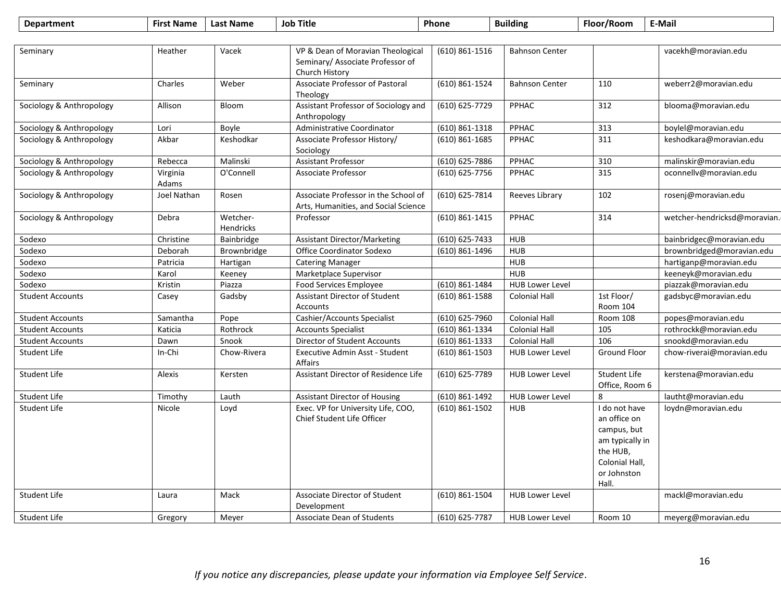| Vacek<br>VP & Dean of Moravian Theological<br>Seminary<br>Heather<br>(610) 861-1516<br><b>Bahnson Center</b><br>Seminary/ Associate Professor of<br>Church History<br>Associate Professor of Pastoral<br>(610) 861-1524<br>Charles<br>Weber<br><b>Bahnson Center</b><br>110<br>Seminary<br>Theology<br>Assistant Professor of Sociology and<br>(610) 625-7729<br>312<br>Sociology & Anthropology<br>Allison<br>Bloom<br>PPHAC<br>Anthropology<br>Administrative Coordinator<br>$(610) 861 - 1318$<br>PPHAC<br>313<br>boylel@moravian.edu<br>Sociology & Anthropology<br>Lori<br>Boyle<br>Akbar<br>Keshodkar<br>Associate Professor History/<br>(610) 861-1685<br>PPHAC<br>311<br>Sociology & Anthropology<br>Sociology<br><b>Assistant Professor</b><br><b>PPHAC</b><br>Sociology & Anthropology<br>Malinski<br>(610) 625-7886<br>310<br>Rebecca<br>O'Connell<br>Associate Professor<br>(610) 625-7756<br>PPHAC<br>315<br>Sociology & Anthropology<br>Virginia<br>Adams<br>Associate Professor in the School of<br>(610) 625-7814<br>102<br>Sociology & Anthropology<br>Joel Nathan<br>Rosen<br>Reeves Library<br>Arts, Humanities, and Social Science<br>Sociology & Anthropology<br>Wetcher-<br>Professor<br>(610) 861-1415<br>PPHAC<br>314<br>Debra<br>Hendricks<br>Christine<br><b>Assistant Director/Marketing</b><br>(610) 625-7433<br><b>HUB</b><br>Sodexo<br>Bainbridge<br>HUB<br>Sodexo<br>Brownbridge<br><b>Office Coordinator Sodexo</b><br>(610) 861-1496<br>Deborah<br>Sodexo<br><b>HUB</b><br>Patricia<br>Hartigan<br><b>Catering Manager</b><br>Marketplace Supervisor<br><b>HUB</b><br>Sodexo<br>Karol<br>Keeney<br>Kristin<br>$(610) 861 - 1484$<br><b>HUB Lower Level</b><br>Sodexo<br>Piazza<br><b>Food Services Employee</b><br>1st Floor/<br><b>Student Accounts</b><br><b>Assistant Director of Student</b><br>$(610)$ 861-1588<br><b>Colonial Hall</b><br>Casey<br>Gadsby<br>Room 104<br><b>Accounts</b><br>Cashier/Accounts Specialist<br>(610) 625-7960<br><b>Colonial Hall</b><br>Room 108<br><b>Student Accounts</b><br>Samantha<br>Pope<br><b>Student Accounts</b><br><b>Colonial Hall</b><br>105<br>Katicia<br>Rothrock<br><b>Accounts Specialist</b><br>(610) 861-1334<br>106<br>$(610) 861 - 1333$<br><b>Student Accounts</b><br>Snook<br>Director of Student Accounts<br><b>Colonial Hall</b><br>Dawn<br>$\overline{(610)}$ 861-1503<br>Ground Floor<br>Student Life<br>In-Chi<br>Chow-Rivera<br>Executive Admin Asst - Student<br><b>HUB Lower Level</b><br>Affairs<br>Assistant Director of Residence Life<br><b>Student Life</b><br>Alexis<br>(610) 625-7789<br><b>HUB Lower Level</b><br>Student Life<br>Kersten<br>Office, Room 6<br>Student Life<br>$(610) 861 - 1492$<br><b>HUB Lower Level</b><br>8<br>Timothy<br>Lauth<br><b>Assistant Director of Housing</b><br>Exec. VP for University Life, COO,<br>Student Life<br>(610) 861-1502<br><b>HUB</b><br>I do not have<br>loydn@moravian.edu<br>Nicole<br>Loyd<br>an office on<br>Chief Student Life Officer<br>campus, but<br>am typically in<br>the HUB,<br>Colonial Hall,<br>or Johnston<br>Hall.<br>Associate Director of Student<br>Student Life<br>Mack<br>$(610) 861 - 1504$<br><b>HUB Lower Level</b><br>Laura<br>Development | <b>Department</b> | <b>First Name</b> | <b>Last Name</b> | <b>Job Title</b> | Phone          | <b>Building</b> | Floor/Room | E-Mail                       |
|-------------------------------------------------------------------------------------------------------------------------------------------------------------------------------------------------------------------------------------------------------------------------------------------------------------------------------------------------------------------------------------------------------------------------------------------------------------------------------------------------------------------------------------------------------------------------------------------------------------------------------------------------------------------------------------------------------------------------------------------------------------------------------------------------------------------------------------------------------------------------------------------------------------------------------------------------------------------------------------------------------------------------------------------------------------------------------------------------------------------------------------------------------------------------------------------------------------------------------------------------------------------------------------------------------------------------------------------------------------------------------------------------------------------------------------------------------------------------------------------------------------------------------------------------------------------------------------------------------------------------------------------------------------------------------------------------------------------------------------------------------------------------------------------------------------------------------------------------------------------------------------------------------------------------------------------------------------------------------------------------------------------------------------------------------------------------------------------------------------------------------------------------------------------------------------------------------------------------------------------------------------------------------------------------------------------------------------------------------------------------------------------------------------------------------------------------------------------------------------------------------------------------------------------------------------------------------------------------------------------------------------------------------------------------------------------------------------------------------------------------------------------------------------------------------------------------------------------------------------------------------------------------------------------------------------------------------------------------------------------------------------------------------------------------------------------------------------------------------------------------------------------------------------------------------------------------------------------------------|-------------------|-------------------|------------------|------------------|----------------|-----------------|------------|------------------------------|
|                                                                                                                                                                                                                                                                                                                                                                                                                                                                                                                                                                                                                                                                                                                                                                                                                                                                                                                                                                                                                                                                                                                                                                                                                                                                                                                                                                                                                                                                                                                                                                                                                                                                                                                                                                                                                                                                                                                                                                                                                                                                                                                                                                                                                                                                                                                                                                                                                                                                                                                                                                                                                                                                                                                                                                                                                                                                                                                                                                                                                                                                                                                                                                                                                               |                   |                   |                  |                  |                |                 |            |                              |
|                                                                                                                                                                                                                                                                                                                                                                                                                                                                                                                                                                                                                                                                                                                                                                                                                                                                                                                                                                                                                                                                                                                                                                                                                                                                                                                                                                                                                                                                                                                                                                                                                                                                                                                                                                                                                                                                                                                                                                                                                                                                                                                                                                                                                                                                                                                                                                                                                                                                                                                                                                                                                                                                                                                                                                                                                                                                                                                                                                                                                                                                                                                                                                                                                               |                   |                   |                  |                  |                |                 |            | vacekh@moravian.edu          |
|                                                                                                                                                                                                                                                                                                                                                                                                                                                                                                                                                                                                                                                                                                                                                                                                                                                                                                                                                                                                                                                                                                                                                                                                                                                                                                                                                                                                                                                                                                                                                                                                                                                                                                                                                                                                                                                                                                                                                                                                                                                                                                                                                                                                                                                                                                                                                                                                                                                                                                                                                                                                                                                                                                                                                                                                                                                                                                                                                                                                                                                                                                                                                                                                                               |                   |                   |                  |                  |                |                 |            | weberr2@moravian.edu         |
|                                                                                                                                                                                                                                                                                                                                                                                                                                                                                                                                                                                                                                                                                                                                                                                                                                                                                                                                                                                                                                                                                                                                                                                                                                                                                                                                                                                                                                                                                                                                                                                                                                                                                                                                                                                                                                                                                                                                                                                                                                                                                                                                                                                                                                                                                                                                                                                                                                                                                                                                                                                                                                                                                                                                                                                                                                                                                                                                                                                                                                                                                                                                                                                                                               |                   |                   |                  |                  |                |                 |            | blooma@moravian.edu          |
|                                                                                                                                                                                                                                                                                                                                                                                                                                                                                                                                                                                                                                                                                                                                                                                                                                                                                                                                                                                                                                                                                                                                                                                                                                                                                                                                                                                                                                                                                                                                                                                                                                                                                                                                                                                                                                                                                                                                                                                                                                                                                                                                                                                                                                                                                                                                                                                                                                                                                                                                                                                                                                                                                                                                                                                                                                                                                                                                                                                                                                                                                                                                                                                                                               |                   |                   |                  |                  |                |                 |            |                              |
|                                                                                                                                                                                                                                                                                                                                                                                                                                                                                                                                                                                                                                                                                                                                                                                                                                                                                                                                                                                                                                                                                                                                                                                                                                                                                                                                                                                                                                                                                                                                                                                                                                                                                                                                                                                                                                                                                                                                                                                                                                                                                                                                                                                                                                                                                                                                                                                                                                                                                                                                                                                                                                                                                                                                                                                                                                                                                                                                                                                                                                                                                                                                                                                                                               |                   |                   |                  |                  |                |                 |            | keshodkara@moravian.edu      |
|                                                                                                                                                                                                                                                                                                                                                                                                                                                                                                                                                                                                                                                                                                                                                                                                                                                                                                                                                                                                                                                                                                                                                                                                                                                                                                                                                                                                                                                                                                                                                                                                                                                                                                                                                                                                                                                                                                                                                                                                                                                                                                                                                                                                                                                                                                                                                                                                                                                                                                                                                                                                                                                                                                                                                                                                                                                                                                                                                                                                                                                                                                                                                                                                                               |                   |                   |                  |                  |                |                 |            | malinskir@moravian.edu       |
|                                                                                                                                                                                                                                                                                                                                                                                                                                                                                                                                                                                                                                                                                                                                                                                                                                                                                                                                                                                                                                                                                                                                                                                                                                                                                                                                                                                                                                                                                                                                                                                                                                                                                                                                                                                                                                                                                                                                                                                                                                                                                                                                                                                                                                                                                                                                                                                                                                                                                                                                                                                                                                                                                                                                                                                                                                                                                                                                                                                                                                                                                                                                                                                                                               |                   |                   |                  |                  |                |                 |            | oconnellv@moravian.edu       |
|                                                                                                                                                                                                                                                                                                                                                                                                                                                                                                                                                                                                                                                                                                                                                                                                                                                                                                                                                                                                                                                                                                                                                                                                                                                                                                                                                                                                                                                                                                                                                                                                                                                                                                                                                                                                                                                                                                                                                                                                                                                                                                                                                                                                                                                                                                                                                                                                                                                                                                                                                                                                                                                                                                                                                                                                                                                                                                                                                                                                                                                                                                                                                                                                                               |                   |                   |                  |                  |                |                 |            | rosenj@moravian.edu          |
|                                                                                                                                                                                                                                                                                                                                                                                                                                                                                                                                                                                                                                                                                                                                                                                                                                                                                                                                                                                                                                                                                                                                                                                                                                                                                                                                                                                                                                                                                                                                                                                                                                                                                                                                                                                                                                                                                                                                                                                                                                                                                                                                                                                                                                                                                                                                                                                                                                                                                                                                                                                                                                                                                                                                                                                                                                                                                                                                                                                                                                                                                                                                                                                                                               |                   |                   |                  |                  |                |                 |            | wetcher-hendricksd@moravian. |
|                                                                                                                                                                                                                                                                                                                                                                                                                                                                                                                                                                                                                                                                                                                                                                                                                                                                                                                                                                                                                                                                                                                                                                                                                                                                                                                                                                                                                                                                                                                                                                                                                                                                                                                                                                                                                                                                                                                                                                                                                                                                                                                                                                                                                                                                                                                                                                                                                                                                                                                                                                                                                                                                                                                                                                                                                                                                                                                                                                                                                                                                                                                                                                                                                               |                   |                   |                  |                  |                |                 |            | bainbridgec@moravian.edu     |
|                                                                                                                                                                                                                                                                                                                                                                                                                                                                                                                                                                                                                                                                                                                                                                                                                                                                                                                                                                                                                                                                                                                                                                                                                                                                                                                                                                                                                                                                                                                                                                                                                                                                                                                                                                                                                                                                                                                                                                                                                                                                                                                                                                                                                                                                                                                                                                                                                                                                                                                                                                                                                                                                                                                                                                                                                                                                                                                                                                                                                                                                                                                                                                                                                               |                   |                   |                  |                  |                |                 |            | brownbridged@moravian.edu    |
|                                                                                                                                                                                                                                                                                                                                                                                                                                                                                                                                                                                                                                                                                                                                                                                                                                                                                                                                                                                                                                                                                                                                                                                                                                                                                                                                                                                                                                                                                                                                                                                                                                                                                                                                                                                                                                                                                                                                                                                                                                                                                                                                                                                                                                                                                                                                                                                                                                                                                                                                                                                                                                                                                                                                                                                                                                                                                                                                                                                                                                                                                                                                                                                                                               |                   |                   |                  |                  |                |                 |            | hartiganp@moravian.edu       |
|                                                                                                                                                                                                                                                                                                                                                                                                                                                                                                                                                                                                                                                                                                                                                                                                                                                                                                                                                                                                                                                                                                                                                                                                                                                                                                                                                                                                                                                                                                                                                                                                                                                                                                                                                                                                                                                                                                                                                                                                                                                                                                                                                                                                                                                                                                                                                                                                                                                                                                                                                                                                                                                                                                                                                                                                                                                                                                                                                                                                                                                                                                                                                                                                                               |                   |                   |                  |                  |                |                 |            | keeneyk@moravian.edu         |
|                                                                                                                                                                                                                                                                                                                                                                                                                                                                                                                                                                                                                                                                                                                                                                                                                                                                                                                                                                                                                                                                                                                                                                                                                                                                                                                                                                                                                                                                                                                                                                                                                                                                                                                                                                                                                                                                                                                                                                                                                                                                                                                                                                                                                                                                                                                                                                                                                                                                                                                                                                                                                                                                                                                                                                                                                                                                                                                                                                                                                                                                                                                                                                                                                               |                   |                   |                  |                  |                |                 |            | piazzak@moravian.edu         |
|                                                                                                                                                                                                                                                                                                                                                                                                                                                                                                                                                                                                                                                                                                                                                                                                                                                                                                                                                                                                                                                                                                                                                                                                                                                                                                                                                                                                                                                                                                                                                                                                                                                                                                                                                                                                                                                                                                                                                                                                                                                                                                                                                                                                                                                                                                                                                                                                                                                                                                                                                                                                                                                                                                                                                                                                                                                                                                                                                                                                                                                                                                                                                                                                                               |                   |                   |                  |                  |                |                 |            | gadsbyc@moravian.edu         |
|                                                                                                                                                                                                                                                                                                                                                                                                                                                                                                                                                                                                                                                                                                                                                                                                                                                                                                                                                                                                                                                                                                                                                                                                                                                                                                                                                                                                                                                                                                                                                                                                                                                                                                                                                                                                                                                                                                                                                                                                                                                                                                                                                                                                                                                                                                                                                                                                                                                                                                                                                                                                                                                                                                                                                                                                                                                                                                                                                                                                                                                                                                                                                                                                                               |                   |                   |                  |                  |                |                 |            | popes@moravian.edu           |
|                                                                                                                                                                                                                                                                                                                                                                                                                                                                                                                                                                                                                                                                                                                                                                                                                                                                                                                                                                                                                                                                                                                                                                                                                                                                                                                                                                                                                                                                                                                                                                                                                                                                                                                                                                                                                                                                                                                                                                                                                                                                                                                                                                                                                                                                                                                                                                                                                                                                                                                                                                                                                                                                                                                                                                                                                                                                                                                                                                                                                                                                                                                                                                                                                               |                   |                   |                  |                  |                |                 |            | rothrockk@moravian.edu       |
|                                                                                                                                                                                                                                                                                                                                                                                                                                                                                                                                                                                                                                                                                                                                                                                                                                                                                                                                                                                                                                                                                                                                                                                                                                                                                                                                                                                                                                                                                                                                                                                                                                                                                                                                                                                                                                                                                                                                                                                                                                                                                                                                                                                                                                                                                                                                                                                                                                                                                                                                                                                                                                                                                                                                                                                                                                                                                                                                                                                                                                                                                                                                                                                                                               |                   |                   |                  |                  |                |                 |            | snookd@moravian.edu          |
|                                                                                                                                                                                                                                                                                                                                                                                                                                                                                                                                                                                                                                                                                                                                                                                                                                                                                                                                                                                                                                                                                                                                                                                                                                                                                                                                                                                                                                                                                                                                                                                                                                                                                                                                                                                                                                                                                                                                                                                                                                                                                                                                                                                                                                                                                                                                                                                                                                                                                                                                                                                                                                                                                                                                                                                                                                                                                                                                                                                                                                                                                                                                                                                                                               |                   |                   |                  |                  |                |                 |            | chow-riverai@moravian.edu    |
|                                                                                                                                                                                                                                                                                                                                                                                                                                                                                                                                                                                                                                                                                                                                                                                                                                                                                                                                                                                                                                                                                                                                                                                                                                                                                                                                                                                                                                                                                                                                                                                                                                                                                                                                                                                                                                                                                                                                                                                                                                                                                                                                                                                                                                                                                                                                                                                                                                                                                                                                                                                                                                                                                                                                                                                                                                                                                                                                                                                                                                                                                                                                                                                                                               |                   |                   |                  |                  |                |                 |            | kerstena@moravian.edu        |
|                                                                                                                                                                                                                                                                                                                                                                                                                                                                                                                                                                                                                                                                                                                                                                                                                                                                                                                                                                                                                                                                                                                                                                                                                                                                                                                                                                                                                                                                                                                                                                                                                                                                                                                                                                                                                                                                                                                                                                                                                                                                                                                                                                                                                                                                                                                                                                                                                                                                                                                                                                                                                                                                                                                                                                                                                                                                                                                                                                                                                                                                                                                                                                                                                               |                   |                   |                  |                  |                |                 |            | lautht@moravian.edu          |
|                                                                                                                                                                                                                                                                                                                                                                                                                                                                                                                                                                                                                                                                                                                                                                                                                                                                                                                                                                                                                                                                                                                                                                                                                                                                                                                                                                                                                                                                                                                                                                                                                                                                                                                                                                                                                                                                                                                                                                                                                                                                                                                                                                                                                                                                                                                                                                                                                                                                                                                                                                                                                                                                                                                                                                                                                                                                                                                                                                                                                                                                                                                                                                                                                               |                   |                   |                  |                  |                |                 |            |                              |
|                                                                                                                                                                                                                                                                                                                                                                                                                                                                                                                                                                                                                                                                                                                                                                                                                                                                                                                                                                                                                                                                                                                                                                                                                                                                                                                                                                                                                                                                                                                                                                                                                                                                                                                                                                                                                                                                                                                                                                                                                                                                                                                                                                                                                                                                                                                                                                                                                                                                                                                                                                                                                                                                                                                                                                                                                                                                                                                                                                                                                                                                                                                                                                                                                               |                   |                   |                  |                  |                |                 |            | mackl@moravian.edu           |
| <b>Student Life</b><br><b>Associate Dean of Students</b><br><b>HUB Lower Level</b><br>Room 10<br>Gregory<br>Meyer                                                                                                                                                                                                                                                                                                                                                                                                                                                                                                                                                                                                                                                                                                                                                                                                                                                                                                                                                                                                                                                                                                                                                                                                                                                                                                                                                                                                                                                                                                                                                                                                                                                                                                                                                                                                                                                                                                                                                                                                                                                                                                                                                                                                                                                                                                                                                                                                                                                                                                                                                                                                                                                                                                                                                                                                                                                                                                                                                                                                                                                                                                             |                   |                   |                  |                  | (610) 625-7787 |                 |            | meyerg@moravian.edu          |